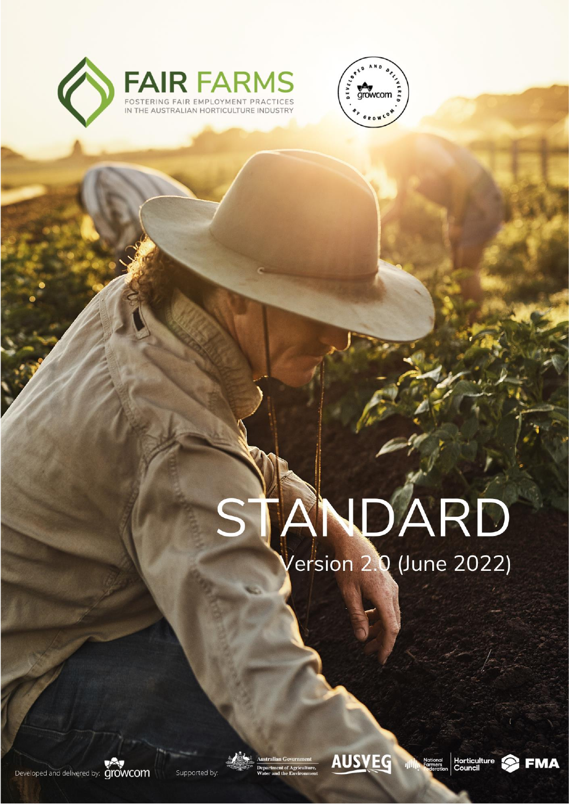



# VDÁRD /ersion 2.0 (June 2022)



Supported by:

 $\overline{v}$ 



– June 2022 **|** Copyright © Growcom Australia



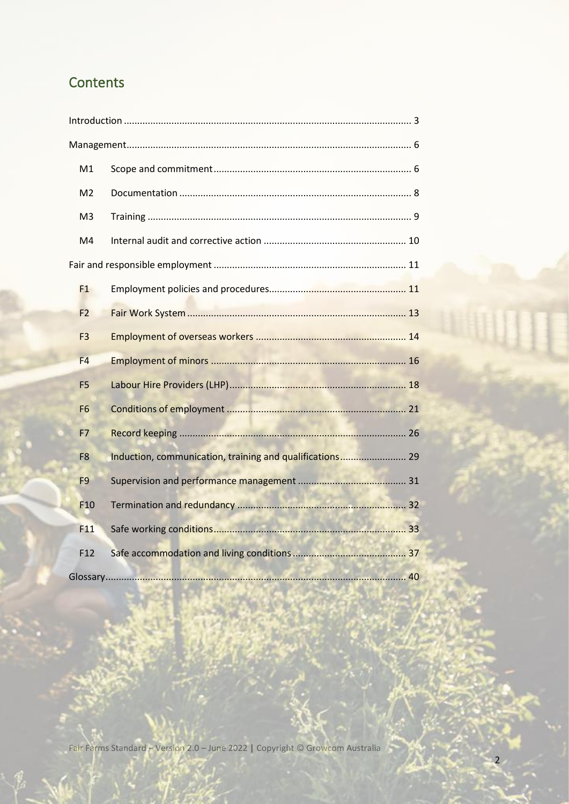# Contents

| M1              |                                                          |                                          |  |  |  |
|-----------------|----------------------------------------------------------|------------------------------------------|--|--|--|
| M <sub>2</sub>  |                                                          |                                          |  |  |  |
| M <sub>3</sub>  |                                                          |                                          |  |  |  |
| M4              |                                                          |                                          |  |  |  |
|                 |                                                          |                                          |  |  |  |
| F1              |                                                          |                                          |  |  |  |
| F <sub>2</sub>  |                                                          |                                          |  |  |  |
| F <sub>3</sub>  |                                                          |                                          |  |  |  |
| F4              |                                                          |                                          |  |  |  |
| F <sub>5</sub>  |                                                          |                                          |  |  |  |
| F <sub>6</sub>  |                                                          |                                          |  |  |  |
| F7              |                                                          |                                          |  |  |  |
| F <sub>8</sub>  | Induction, communication, training and qualifications 29 |                                          |  |  |  |
| F <sub>9</sub>  |                                                          |                                          |  |  |  |
| F <sub>10</sub> |                                                          |                                          |  |  |  |
| F11             |                                                          |                                          |  |  |  |
| F12             |                                                          |                                          |  |  |  |
| Glossary        | --                                                       | $\Lambda$ <sup><math>\Omega</math></sup> |  |  |  |

Fair Farms Standard - Version 2.0 - June 2022 | Copyright © Growcom Australia

 $\overline{2}$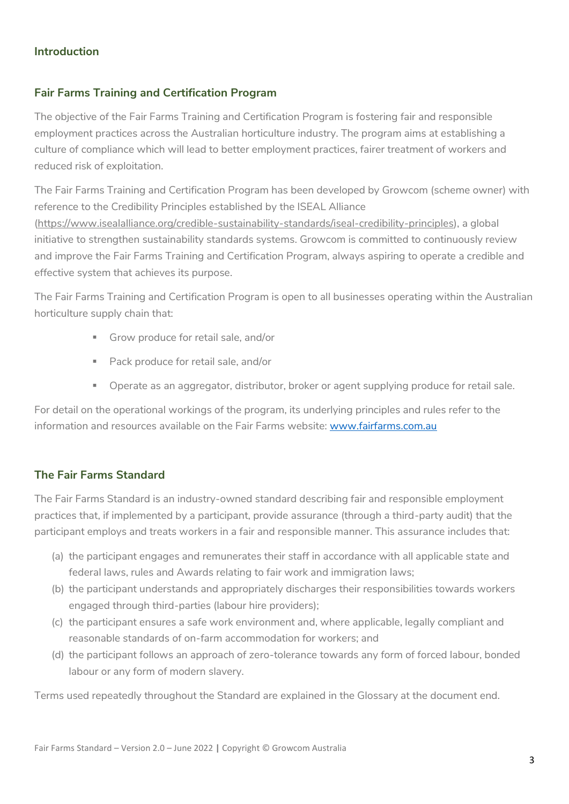# <span id="page-2-0"></span>**Introduction**

# **Fair Farms Training and Certification Program**

The objective of the Fair Farms Training and Certification Program is fostering fair and responsible employment practices across the Australian horticulture industry. The program aims at establishing a culture of compliance which will lead to better employment practices, fairer treatment of workers and reduced risk of exploitation.

The Fair Farms Training and Certification Program has been developed by Growcom (scheme owner) with reference to the Credibility Principles established by the ISEAL Alliance [\(https://www.isealalliance.org/credible-sustainability-standards/iseal-credibility-principles\)](https://www.isealalliance.org/credible-sustainability-standards/iseal-credibility-principles), a global initiative to strengthen sustainability standards systems. Growcom is committed to continuously review and improve the Fair Farms Training and Certification Program, always aspiring to operate a credible and effective system that achieves its purpose.

The Fair Farms Training and Certification Program is open to all businesses operating within the Australian horticulture supply chain that:

- Grow produce for retail sale, and/or
- Pack produce for retail sale, and/or
- **•** Operate as an aggregator, distributor, broker or agent supplying produce for retail sale.

For detail on the operational workings of the program, its underlying principles and rules refer to the information and resources available on the Fair Farms website: [www.fairfarms.com.au](http://www.fairfarms.com.au/)

# **The Fair Farms Standard**

The Fair Farms Standard is an industry-owned standard describing fair and responsible employment practices that, if implemented by a participant, provide assurance (through a third-party audit) that the participant employs and treats workers in a fair and responsible manner. This assurance includes that:

- (a) the participant engages and remunerates their staff in accordance with all applicable state and federal laws, rules and Awards relating to fair work and immigration laws;
- (b) the participant understands and appropriately discharges their responsibilities towards workers engaged through third-parties (labour hire providers);
- (c) the participant ensures a safe work environment and, where applicable, legally compliant and reasonable standards of on-farm accommodation for workers; and
- (d) the participant follows an approach of zero-tolerance towards any form of forced labour, bonded labour or any form of modern slavery.

Terms used repeatedly throughout the Standard are explained in the Glossary at the document end.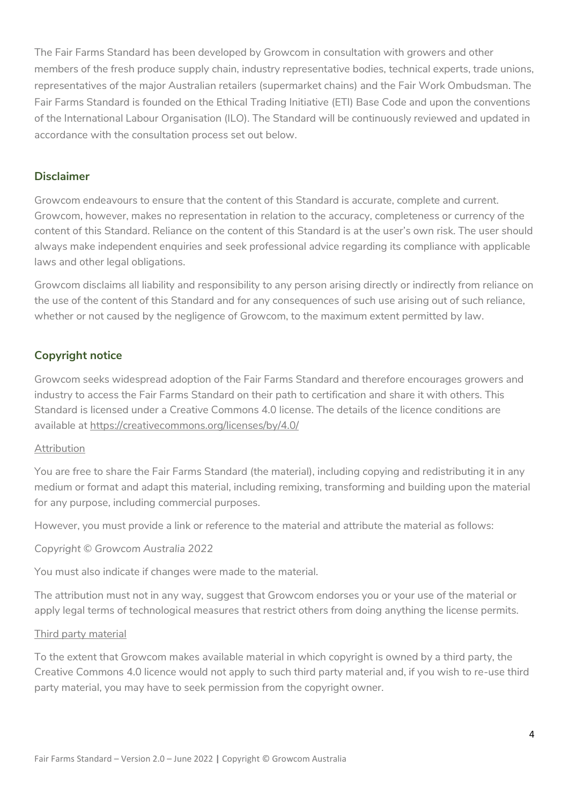The Fair Farms Standard has been developed by Growcom in consultation with growers and other members of the fresh produce supply chain, industry representative bodies, technical experts, trade unions, representatives of the major Australian retailers (supermarket chains) and the Fair Work Ombudsman. The Fair Farms Standard is founded on the Ethical Trading Initiative (ETI) Base Code and upon the conventions of the International Labour Organisation (ILO). The Standard will be continuously reviewed and updated in accordance with the consultation process set out below.

# **Disclaimer**

Growcom endeavours to ensure that the content of this Standard is accurate, complete and current. Growcom, however, makes no representation in relation to the accuracy, completeness or currency of the content of this Standard. Reliance on the content of this Standard is at the user's own risk. The user should always make independent enquiries and seek professional advice regarding its compliance with applicable laws and other legal obligations.

Growcom disclaims all liability and responsibility to any person arising directly or indirectly from reliance on the use of the content of this Standard and for any consequences of such use arising out of such reliance, whether or not caused by the negligence of Growcom, to the maximum extent permitted by law.

# **Copyright notice**

Growcom seeks widespread adoption of the Fair Farms Standard and therefore encourages growers and industry to access the Fair Farms Standard on their path to certification and share it with others. This Standard is licensed under a Creative Commons 4.0 license. The details of the licence conditions are available at<https://creativecommons.org/licenses/by/4.0/>

#### Attribution

You are free to share the Fair Farms Standard (the material), including copying and redistributing it in any medium or format and adapt this material, including remixing, transforming and building upon the material for any purpose, including commercial purposes.

However, you must provide a link or reference to the material and attribute the material as follows:

*Copyright © Growcom Australia 2022*

You must also indicate if changes were made to the material.

The attribution must not in any way, suggest that Growcom endorses you or your use of the material or apply legal terms of technological measures that restrict others from doing anything the license permits.

#### Third party material

To the extent that Growcom makes available material in which copyright is owned by a third party, the Creative Commons 4.0 licence would not apply to such third party material and, if you wish to re-use third party material, you may have to seek permission from the copyright owner.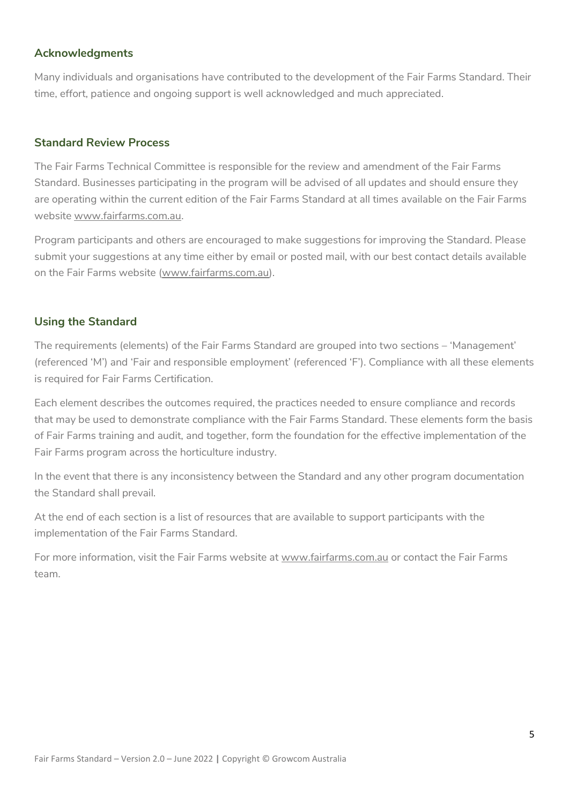# **Acknowledgments**

Many individuals and organisations have contributed to the development of the Fair Farms Standard. Their time, effort, patience and ongoing support is well acknowledged and much appreciated.

## **Standard Review Process**

The Fair Farms Technical Committee is responsible for the review and amendment of the Fair Farms Standard. Businesses participating in the program will be advised of all updates and should ensure they are operating within the current edition of the Fair Farms Standard at all times available on the Fair Farms website [www.fairfarms.com.au.](http://www.fairfarms.com.au/)

Program participants and others are encouraged to make suggestions for improving the Standard. Please submit your suggestions at any time either by email or posted mail, with our best contact details available on the Fair Farms website [\(www.fairfarms.com.au\)](http://www.fairfarms.com.au/).

# **Using the Standard**

The requirements (elements) of the Fair Farms Standard are grouped into two sections – 'Management' (referenced 'M') and 'Fair and responsible employment' (referenced 'F'). Compliance with all these elements is required for Fair Farms Certification.

Each element describes the outcomes required, the practices needed to ensure compliance and records that may be used to demonstrate compliance with the Fair Farms Standard. These elements form the basis of Fair Farms training and audit, and together, form the foundation for the effective implementation of the Fair Farms program across the horticulture industry.

In the event that there is any inconsistency between the Standard and any other program documentation the Standard shall prevail.

At the end of each section is a list of resources that are available to support participants with the implementation of the Fair Farms Standard.

For more information, visit the Fair Farms website at [www.fairfarms.com.au](http://www.fairfarms.com.au/) or contact the Fair Farms team.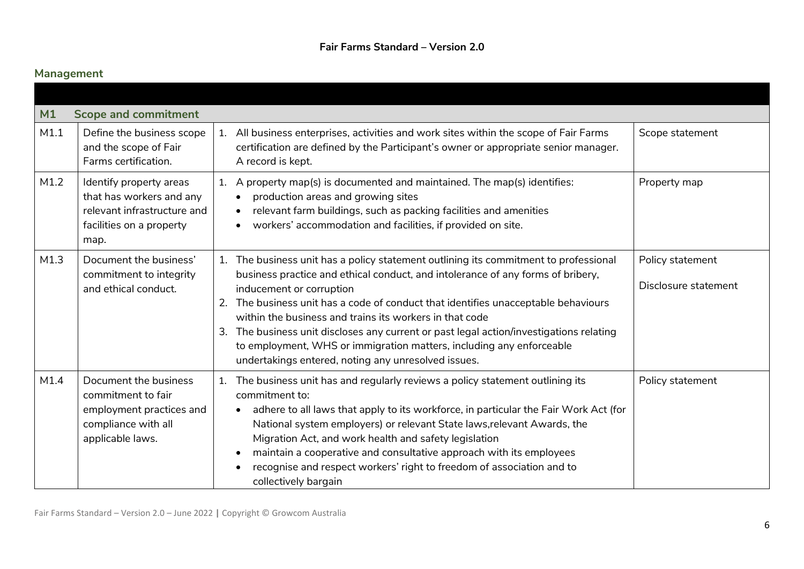# **Management**

<span id="page-5-1"></span><span id="page-5-0"></span>

| M1   | <b>Scope and commitment</b>                                                                                            |                                                                                                                                                                                                                                                                                                                                                                                                                                                                                                                                                                                         |                                          |
|------|------------------------------------------------------------------------------------------------------------------------|-----------------------------------------------------------------------------------------------------------------------------------------------------------------------------------------------------------------------------------------------------------------------------------------------------------------------------------------------------------------------------------------------------------------------------------------------------------------------------------------------------------------------------------------------------------------------------------------|------------------------------------------|
| M1.1 | Define the business scope<br>and the scope of Fair<br>Farms certification.                                             | All business enterprises, activities and work sites within the scope of Fair Farms<br>1.<br>certification are defined by the Participant's owner or appropriate senior manager.<br>A record is kept.                                                                                                                                                                                                                                                                                                                                                                                    | Scope statement                          |
| M1.2 | Identify property areas<br>that has workers and any<br>relevant infrastructure and<br>facilities on a property<br>map. | A property map(s) is documented and maintained. The map(s) identifies:<br>1.<br>production areas and growing sites<br>relevant farm buildings, such as packing facilities and amenities<br>$\bullet$<br>workers' accommodation and facilities, if provided on site.                                                                                                                                                                                                                                                                                                                     | Property map                             |
| M1.3 | Document the business'<br>commitment to integrity<br>and ethical conduct.                                              | The business unit has a policy statement outlining its commitment to professional<br>1.<br>business practice and ethical conduct, and intolerance of any forms of bribery,<br>inducement or corruption<br>The business unit has a code of conduct that identifies unacceptable behaviours<br>2.<br>within the business and trains its workers in that code<br>The business unit discloses any current or past legal action/investigations relating<br>3.<br>to employment, WHS or immigration matters, including any enforceable<br>undertakings entered, noting any unresolved issues. | Policy statement<br>Disclosure statement |
| M1.4 | Document the business<br>commitment to fair<br>employment practices and<br>compliance with all<br>applicable laws.     | The business unit has and regularly reviews a policy statement outlining its<br>1.<br>commitment to:<br>adhere to all laws that apply to its workforce, in particular the Fair Work Act (for<br>National system employers) or relevant State laws, relevant Awards, the<br>Migration Act, and work health and safety legislation<br>maintain a cooperative and consultative approach with its employees<br>recognise and respect workers' right to freedom of association and to<br>$\bullet$<br>collectively bargain                                                                   | Policy statement                         |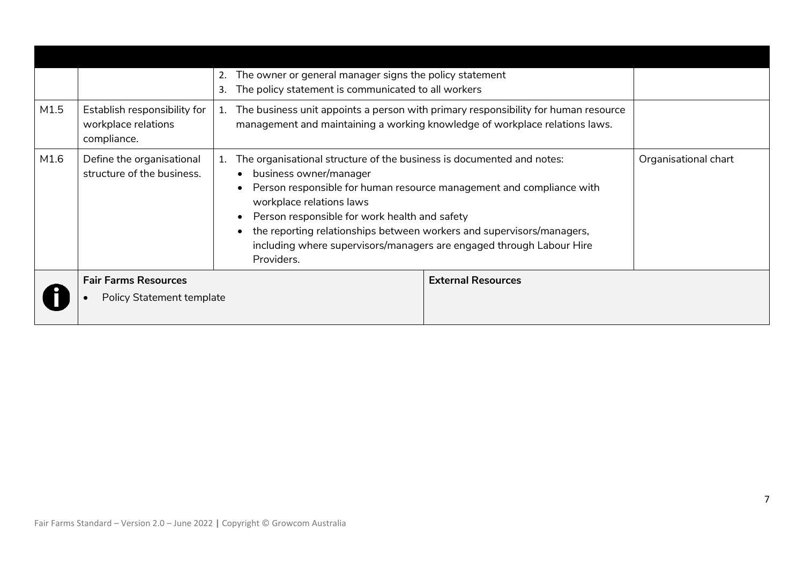|      |                                                                    |    | The owner or general manager signs the policy statement                                                                                                                                                                                                                                                                                                                                                             |                           |                      |
|------|--------------------------------------------------------------------|----|---------------------------------------------------------------------------------------------------------------------------------------------------------------------------------------------------------------------------------------------------------------------------------------------------------------------------------------------------------------------------------------------------------------------|---------------------------|----------------------|
|      |                                                                    | 3. | The policy statement is communicated to all workers                                                                                                                                                                                                                                                                                                                                                                 |                           |                      |
| M1.5 | Establish responsibility for<br>workplace relations<br>compliance. | 1. | The business unit appoints a person with primary responsibility for human resource<br>management and maintaining a working knowledge of workplace relations laws.                                                                                                                                                                                                                                                   |                           |                      |
| M1.6 | Define the organisational<br>structure of the business.            | 1. | The organisational structure of the business is documented and notes:<br>business owner/manager<br>Person responsible for human resource management and compliance with<br>workplace relations laws<br>Person responsible for work health and safety<br>the reporting relationships between workers and supervisors/managers,<br>including where supervisors/managers are engaged through Labour Hire<br>Providers. |                           | Organisational chart |
|      | <b>Fair Farms Resources</b>                                        |    |                                                                                                                                                                                                                                                                                                                                                                                                                     | <b>External Resources</b> |                      |
|      | Policy Statement template                                          |    |                                                                                                                                                                                                                                                                                                                                                                                                                     |                           |                      |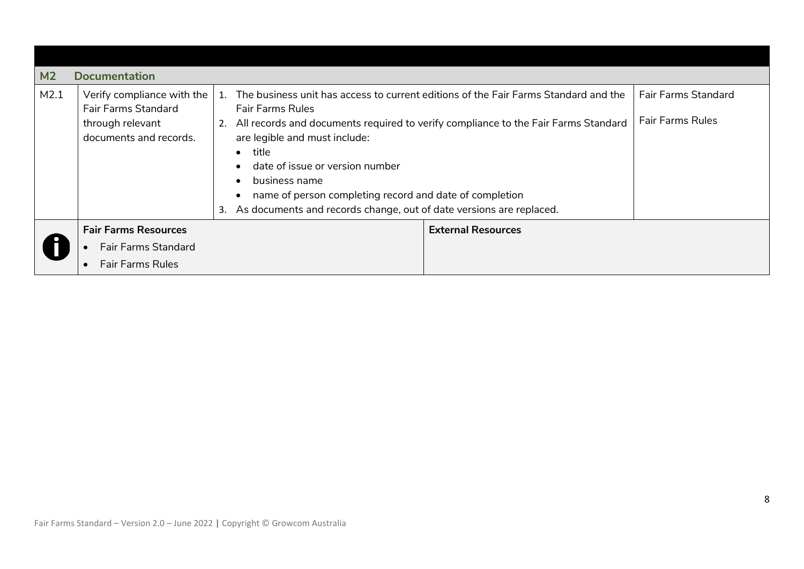<span id="page-7-0"></span>

| M <sub>2</sub> | <b>Documentation</b>                                                                                   |                                                                                                                                                                                                                                   |                                                                                                                                                                                                                                      |  |  |  |
|----------------|--------------------------------------------------------------------------------------------------------|-----------------------------------------------------------------------------------------------------------------------------------------------------------------------------------------------------------------------------------|--------------------------------------------------------------------------------------------------------------------------------------------------------------------------------------------------------------------------------------|--|--|--|
| M2.1           | Verify compliance with the<br><b>Fair Farms Standard</b><br>through relevant<br>documents and records. | $\mathbf{1}$ .<br><b>Fair Farms Rules</b><br>are legible and must include:<br>title<br>$\bullet$<br>date of issue or version number<br>business name<br>As documents and records change, out of date versions are replaced.<br>3. | The business unit has access to current editions of the Fair Farms Standard and the<br>All records and documents required to verify compliance to the Fair Farms Standard<br>name of person completing record and date of completion |  |  |  |
|                | <b>Fair Farms Resources</b><br><b>Fair Farms Standard</b><br><b>Fair Farms Rules</b>                   |                                                                                                                                                                                                                                   | <b>External Resources</b>                                                                                                                                                                                                            |  |  |  |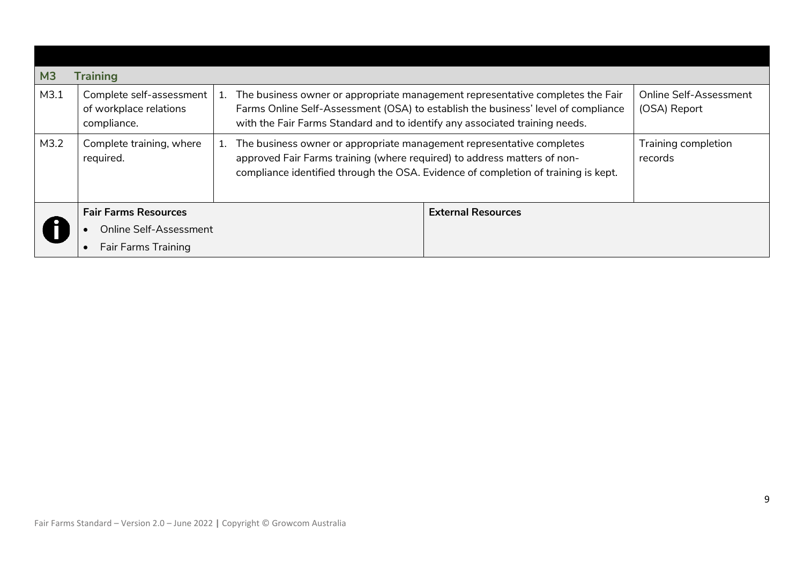<span id="page-8-0"></span>

| M <sub>3</sub> | <b>Training</b>                                                                            |                                                                                                                                                                                                                                                    |                                        |
|----------------|--------------------------------------------------------------------------------------------|----------------------------------------------------------------------------------------------------------------------------------------------------------------------------------------------------------------------------------------------------|----------------------------------------|
| M3.1           | Complete self-assessment<br>of workplace relations<br>compliance.                          | The business owner or appropriate management representative completes the Fair<br>Farms Online Self-Assessment (OSA) to establish the business' level of compliance<br>with the Fair Farms Standard and to identify any associated training needs. | Online Self-Assessment<br>(OSA) Report |
| M3.2           | Complete training, where<br>required.                                                      | The business owner or appropriate management representative completes<br>approved Fair Farms training (where required) to address matters of non-<br>compliance identified through the OSA. Evidence of completion of training is kept.            | Training completion<br>records         |
|                | <b>Fair Farms Resources</b><br><b>Online Self-Assessment</b><br><b>Fair Farms Training</b> | <b>External Resources</b>                                                                                                                                                                                                                          |                                        |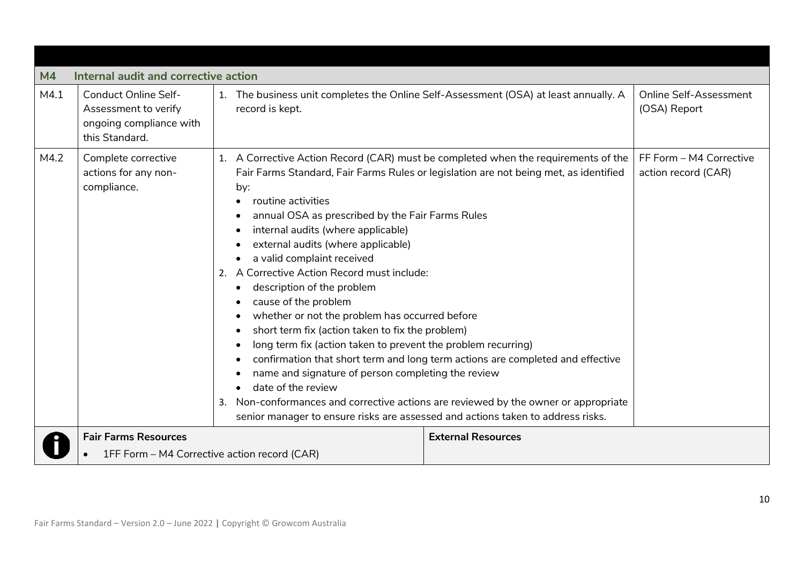<span id="page-9-0"></span>

| M <sub>4</sub> | Internal audit and corrective action                                                             |                                                                                                                                                                                                                                                                                                                                                                                                                                                                                                                                                                                                                                                   |                                                                                                                                                                                                                                                                                                                                                |                                                |  |
|----------------|--------------------------------------------------------------------------------------------------|---------------------------------------------------------------------------------------------------------------------------------------------------------------------------------------------------------------------------------------------------------------------------------------------------------------------------------------------------------------------------------------------------------------------------------------------------------------------------------------------------------------------------------------------------------------------------------------------------------------------------------------------------|------------------------------------------------------------------------------------------------------------------------------------------------------------------------------------------------------------------------------------------------------------------------------------------------------------------------------------------------|------------------------------------------------|--|
| M4.1           | <b>Conduct Online Self-</b><br>Assessment to verify<br>ongoing compliance with<br>this Standard. | 1. The business unit completes the Online Self-Assessment (OSA) at least annually. A<br>record is kept.                                                                                                                                                                                                                                                                                                                                                                                                                                                                                                                                           |                                                                                                                                                                                                                                                                                                                                                | Online Self-Assessment<br>(OSA) Report         |  |
| M4.2           | Complete corrective<br>actions for any non-<br>compliance.                                       | 1.<br>by:<br>routine activities<br>annual OSA as prescribed by the Fair Farms Rules<br>internal audits (where applicable)<br>external audits (where applicable)<br>a valid complaint received<br>A Corrective Action Record must include:<br>2.<br>description of the problem<br>cause of the problem<br>whether or not the problem has occurred before<br>short term fix (action taken to fix the problem)<br>long term fix (action taken to prevent the problem recurring)<br>name and signature of person completing the review<br>date of the review<br>3.<br>senior manager to ensure risks are assessed and actions taken to address risks. | A Corrective Action Record (CAR) must be completed when the requirements of the<br>Fair Farms Standard, Fair Farms Rules or legislation are not being met, as identified<br>confirmation that short term and long term actions are completed and effective<br>Non-conformances and corrective actions are reviewed by the owner or appropriate | FF Form - M4 Corrective<br>action record (CAR) |  |
|                | <b>Fair Farms Resources</b>                                                                      |                                                                                                                                                                                                                                                                                                                                                                                                                                                                                                                                                                                                                                                   | <b>External Resources</b>                                                                                                                                                                                                                                                                                                                      |                                                |  |
|                | 1FF Form - M4 Corrective action record (CAR)                                                     |                                                                                                                                                                                                                                                                                                                                                                                                                                                                                                                                                                                                                                                   |                                                                                                                                                                                                                                                                                                                                                |                                                |  |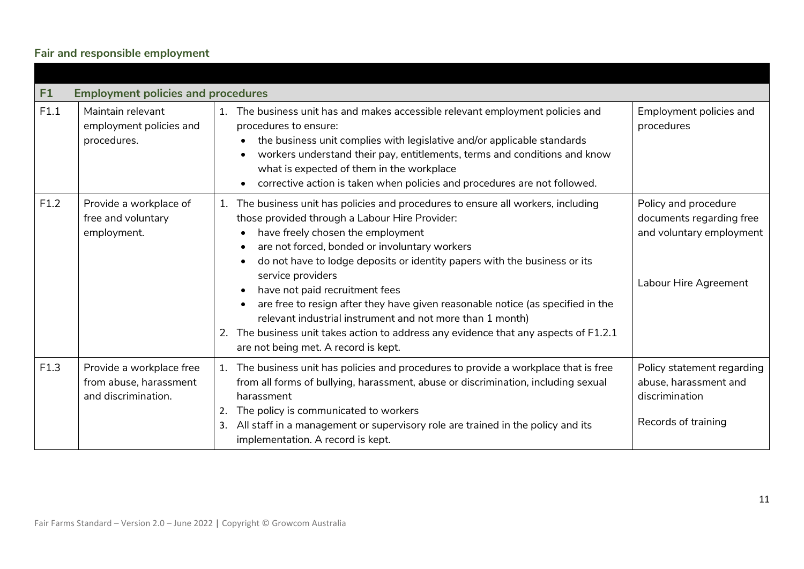# **Fair and responsible employment**

<span id="page-10-1"></span><span id="page-10-0"></span>

| F <sub>1</sub> | <b>Employment policies and procedures</b>                                 |                                                                                                                                                                                                                                                                                                                                                                                                                                                                                                                                                                                                                                                  |                                                                                                       |
|----------------|---------------------------------------------------------------------------|--------------------------------------------------------------------------------------------------------------------------------------------------------------------------------------------------------------------------------------------------------------------------------------------------------------------------------------------------------------------------------------------------------------------------------------------------------------------------------------------------------------------------------------------------------------------------------------------------------------------------------------------------|-------------------------------------------------------------------------------------------------------|
| F1.1           | Maintain relevant<br>employment policies and<br>procedures.               | The business unit has and makes accessible relevant employment policies and<br>1.<br>procedures to ensure:<br>the business unit complies with legislative and/or applicable standards<br>workers understand their pay, entitlements, terms and conditions and know<br>what is expected of them in the workplace<br>corrective action is taken when policies and procedures are not followed.                                                                                                                                                                                                                                                     | Employment policies and<br>procedures                                                                 |
| F1.2           | Provide a workplace of<br>free and voluntary<br>employment.               | The business unit has policies and procedures to ensure all workers, including<br>1.<br>those provided through a Labour Hire Provider:<br>have freely chosen the employment<br>are not forced, bonded or involuntary workers<br>do not have to lodge deposits or identity papers with the business or its<br>service providers<br>have not paid recruitment fees<br>are free to resign after they have given reasonable notice (as specified in the<br>relevant industrial instrument and not more than 1 month)<br>2. The business unit takes action to address any evidence that any aspects of F1.2.1<br>are not being met. A record is kept. | Policy and procedure<br>documents regarding free<br>and voluntary employment<br>Labour Hire Agreement |
| F1.3           | Provide a workplace free<br>from abuse, harassment<br>and discrimination. | The business unit has policies and procedures to provide a workplace that is free<br>1.<br>from all forms of bullying, harassment, abuse or discrimination, including sexual<br>harassment<br>The policy is communicated to workers<br>All staff in a management or supervisory role are trained in the policy and its<br>implementation. A record is kept.                                                                                                                                                                                                                                                                                      | Policy statement regarding<br>abuse, harassment and<br>discrimination<br>Records of training          |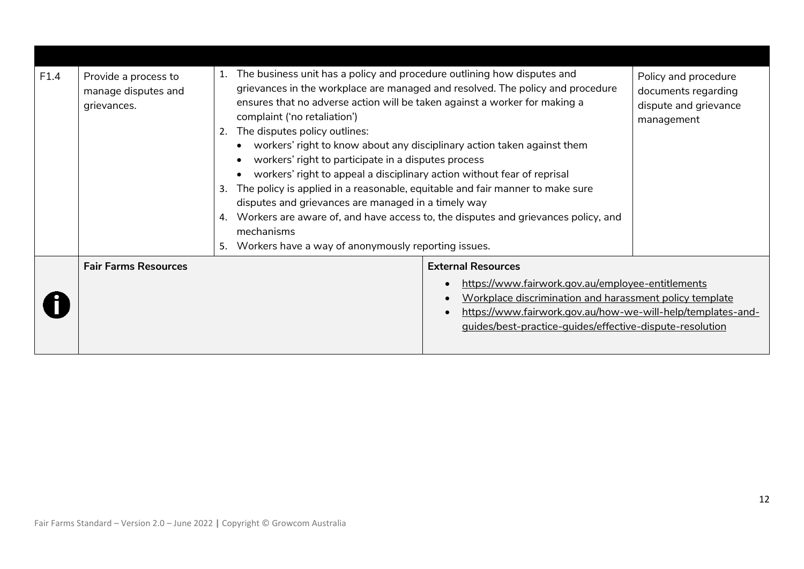| F1.4 | Provide a process to<br>manage disputes and<br>grievances. | 1.<br>complaint ('no retaliation')<br>The disputes policy outlines:<br>2.<br>3.<br>4.<br>mechanisms<br>Workers have a way of anonymously reporting issues.<br>5. | The business unit has a policy and procedure outlining how disputes and<br>Policy and procedure<br>grievances in the workplace are managed and resolved. The policy and procedure<br>documents regarding<br>ensures that no adverse action will be taken against a worker for making a<br>dispute and grievance<br>management<br>workers' right to know about any disciplinary action taken against them<br>workers' right to participate in a disputes process<br>workers' right to appeal a disciplinary action without fear of reprisal<br>The policy is applied in a reasonable, equitable and fair manner to make sure<br>disputes and grievances are managed in a timely way<br>Workers are aware of, and have access to, the disputes and grievances policy, and |  |
|------|------------------------------------------------------------|------------------------------------------------------------------------------------------------------------------------------------------------------------------|-------------------------------------------------------------------------------------------------------------------------------------------------------------------------------------------------------------------------------------------------------------------------------------------------------------------------------------------------------------------------------------------------------------------------------------------------------------------------------------------------------------------------------------------------------------------------------------------------------------------------------------------------------------------------------------------------------------------------------------------------------------------------|--|
|      | <b>Fair Farms Resources</b>                                |                                                                                                                                                                  | <b>External Resources</b><br>https://www.fairwork.gov.au/employee-entitlements                                                                                                                                                                                                                                                                                                                                                                                                                                                                                                                                                                                                                                                                                          |  |
|      |                                                            |                                                                                                                                                                  | Workplace discrimination and harassment policy template<br>https://www.fairwork.gov.au/how-we-will-help/templates-and-<br>guides/best-practice-quides/effective-dispute-resolution                                                                                                                                                                                                                                                                                                                                                                                                                                                                                                                                                                                      |  |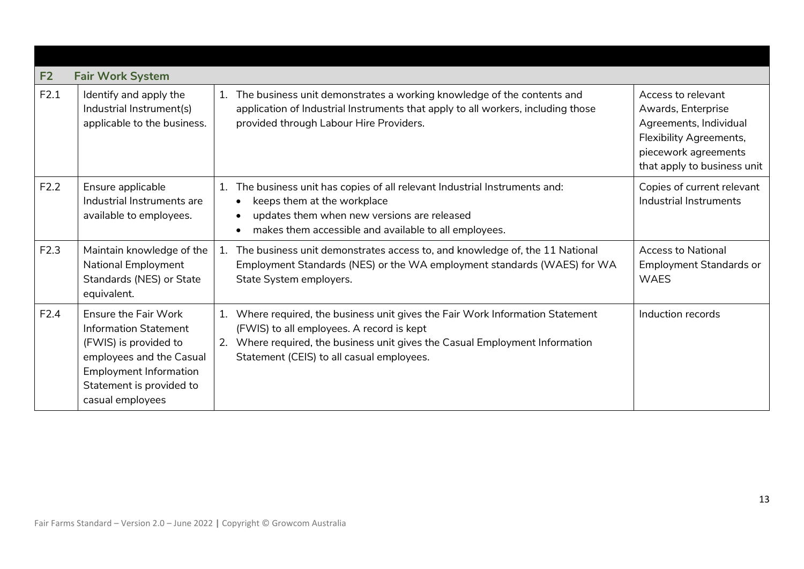<span id="page-12-0"></span>

| F <sub>2</sub> | <b>Fair Work System</b>                                                                                                                                                                           |                                                                                                                                                                                                                                                                |                                                                                                                                                      |
|----------------|---------------------------------------------------------------------------------------------------------------------------------------------------------------------------------------------------|----------------------------------------------------------------------------------------------------------------------------------------------------------------------------------------------------------------------------------------------------------------|------------------------------------------------------------------------------------------------------------------------------------------------------|
| F2.1           | Identify and apply the<br>Industrial Instrument(s)<br>applicable to the business.                                                                                                                 | The business unit demonstrates a working knowledge of the contents and<br>1.<br>application of Industrial Instruments that apply to all workers, including those<br>provided through Labour Hire Providers.                                                    | Access to relevant<br>Awards, Enterprise<br>Agreements, Individual<br>Flexibility Agreements,<br>piecework agreements<br>that apply to business unit |
| F2.2           | Ensure applicable<br>Industrial Instruments are<br>available to employees.                                                                                                                        | The business unit has copies of all relevant Industrial Instruments and:<br>1.<br>keeps them at the workplace<br>updates them when new versions are released<br>$\bullet$<br>makes them accessible and available to all employees.<br>$\bullet$                | Copies of current relevant<br>Industrial Instruments                                                                                                 |
| F2.3           | Maintain knowledge of the<br>National Employment<br>Standards (NES) or State<br>equivalent.                                                                                                       | The business unit demonstrates access to, and knowledge of, the 11 National<br>1.<br>Employment Standards (NES) or the WA employment standards (WAES) for WA<br>State System employers.                                                                        | <b>Access to National</b><br><b>Employment Standards or</b><br><b>WAES</b>                                                                           |
| F2.4           | <b>Ensure the Fair Work</b><br><b>Information Statement</b><br>(FWIS) is provided to<br>employees and the Casual<br><b>Employment Information</b><br>Statement is provided to<br>casual employees | Where required, the business unit gives the Fair Work Information Statement<br>1.<br>(FWIS) to all employees. A record is kept<br>Where required, the business unit gives the Casual Employment Information<br>2.<br>Statement (CEIS) to all casual employees. | Induction records                                                                                                                                    |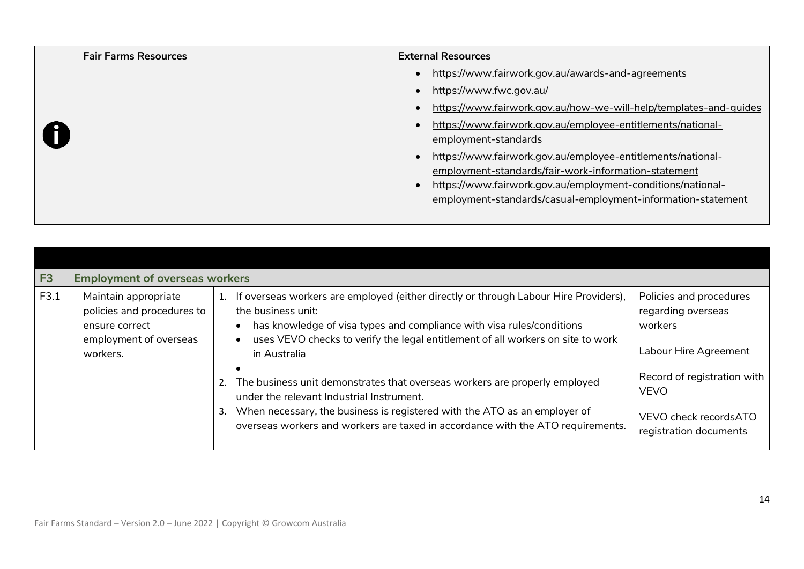| <b>Fair Farms Resources</b> | <b>External Resources</b>                                         |
|-----------------------------|-------------------------------------------------------------------|
|                             | https://www.fairwork.gov.au/awards-and-agreements                 |
|                             | https://www.fwc.gov.au/                                           |
|                             | https://www.fairwork.gov.au/how-we-will-help/templates-and-quides |
|                             | https://www.fairwork.gov.au/employee-entitlements/national-       |
|                             | employment-standards                                              |
|                             | https://www.fairwork.gov.au/employee-entitlements/national-       |
|                             | employment-standards/fair-work-information-statement              |
|                             | https://www.fairwork.gov.au/employment-conditions/national-       |
|                             | employment-standards/casual-employment-information-statement      |
|                             |                                                                   |

<span id="page-13-0"></span>

| F <sub>3</sub> | <b>Employment of overseas workers</b>                                                                      |                                                                                                                                                                                                                                                                                                            |                                                                                               |  |  |  |  |  |  |
|----------------|------------------------------------------------------------------------------------------------------------|------------------------------------------------------------------------------------------------------------------------------------------------------------------------------------------------------------------------------------------------------------------------------------------------------------|-----------------------------------------------------------------------------------------------|--|--|--|--|--|--|
| F3.1           | Maintain appropriate<br>policies and procedures to<br>ensure correct<br>employment of overseas<br>workers. | If overseas workers are employed (either directly or through Labour Hire Providers),<br>1.<br>the business unit:<br>has knowledge of visa types and compliance with visa rules/conditions<br>$\bullet$<br>uses VEVO checks to verify the legal entitlement of all workers on site to work<br>in Australia  | Policies and procedures<br>regarding overseas<br>workers<br>Labour Hire Agreement             |  |  |  |  |  |  |
|                |                                                                                                            | $\bullet$<br>The business unit demonstrates that overseas workers are properly employed<br>under the relevant Industrial Instrument.<br>When necessary, the business is registered with the ATO as an employer of<br>3.<br>overseas workers and workers are taxed in accordance with the ATO requirements. | Record of registration with<br><b>VEVO</b><br>VEVO check recordsATO<br>registration documents |  |  |  |  |  |  |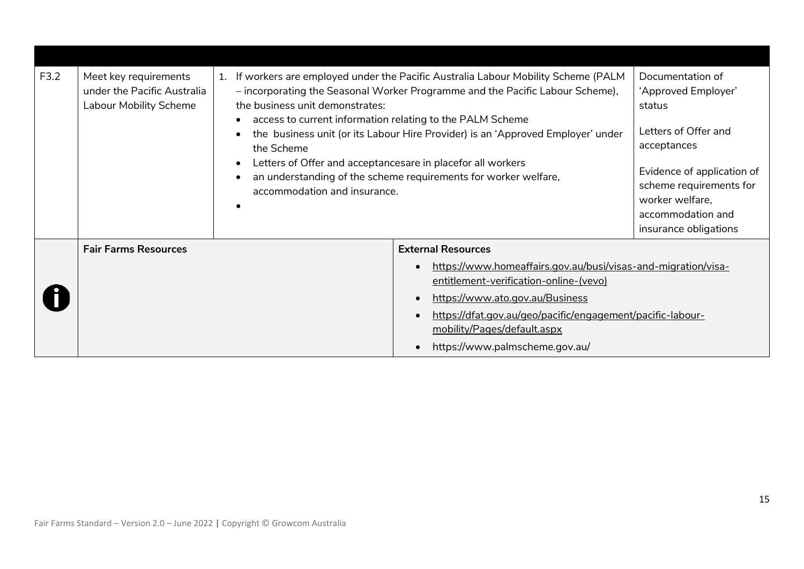| F3.2 | Meet key requirements<br>under the Pacific Australia<br><b>Labour Mobility Scheme</b> | 1. If workers are employed under the Pacific Australia Labour Mobility Scheme (PALM<br>- incorporating the Seasonal Worker Programme and the Pacific Labour Scheme),<br>the business unit demonstrates:<br>access to current information relating to the PALM Scheme<br>$\bullet$<br>the business unit (or its Labour Hire Provider) is an 'Approved Employer' under<br>the Scheme<br>Letters of Offer and acceptancesare in placefor all workers<br>$\bullet$<br>an understanding of the scheme requirements for worker welfare,<br>accommodation and insurance.<br>$\epsilon$ |  | Documentation of<br>'Approved Employer'<br>status<br>Letters of Offer and<br>acceptances<br>Evidence of application of<br>scheme requirements for<br>worker welfare,<br>accommodation and<br>insurance obligations                                                        |  |
|------|---------------------------------------------------------------------------------------|---------------------------------------------------------------------------------------------------------------------------------------------------------------------------------------------------------------------------------------------------------------------------------------------------------------------------------------------------------------------------------------------------------------------------------------------------------------------------------------------------------------------------------------------------------------------------------|--|---------------------------------------------------------------------------------------------------------------------------------------------------------------------------------------------------------------------------------------------------------------------------|--|
|      | <b>Fair Farms Resources</b>                                                           |                                                                                                                                                                                                                                                                                                                                                                                                                                                                                                                                                                                 |  | <b>External Resources</b>                                                                                                                                                                                                                                                 |  |
|      |                                                                                       |                                                                                                                                                                                                                                                                                                                                                                                                                                                                                                                                                                                 |  | https://www.homeaffairs.gov.au/busi/visas-and-migration/visa-<br>entitlement-verification-online-(vevo)<br>https://www.ato.gov.au/Business<br>https://dfat.gov.au/geo/pacific/engagement/pacific-labour-<br>mobility/Pages/default.aspx<br>https://www.palmscheme.gov.au/ |  |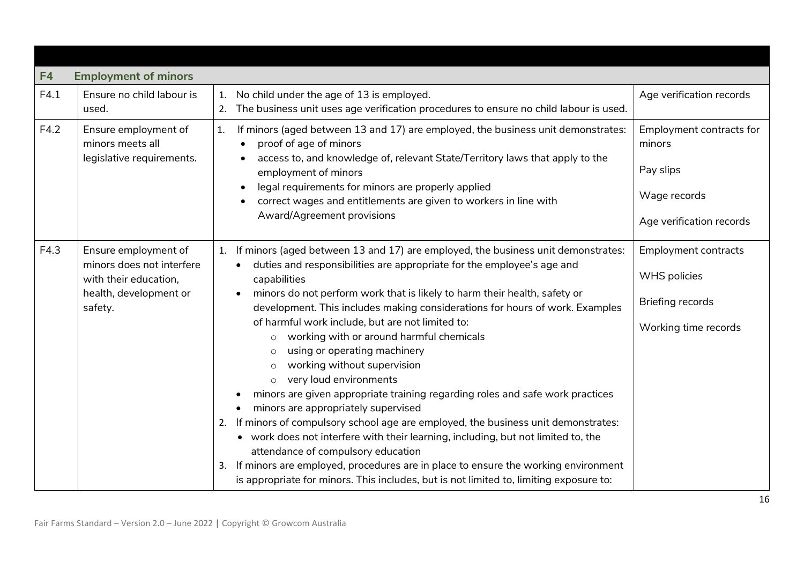<span id="page-15-0"></span>

| F4   | <b>Employment of minors</b>                                                                                     |                                                                                                                                                                                                                                                                                                                                                                                                                                                                                                                                                                                                                                                                                                                                                                                                                                                                                                                                                                                                                                                                                                                                  |                                                                                                       |
|------|-----------------------------------------------------------------------------------------------------------------|----------------------------------------------------------------------------------------------------------------------------------------------------------------------------------------------------------------------------------------------------------------------------------------------------------------------------------------------------------------------------------------------------------------------------------------------------------------------------------------------------------------------------------------------------------------------------------------------------------------------------------------------------------------------------------------------------------------------------------------------------------------------------------------------------------------------------------------------------------------------------------------------------------------------------------------------------------------------------------------------------------------------------------------------------------------------------------------------------------------------------------|-------------------------------------------------------------------------------------------------------|
| F4.1 | Ensure no child labour is<br>used.                                                                              | No child under the age of 13 is employed.<br>1.<br>The business unit uses age verification procedures to ensure no child labour is used.<br>2.                                                                                                                                                                                                                                                                                                                                                                                                                                                                                                                                                                                                                                                                                                                                                                                                                                                                                                                                                                                   | Age verification records                                                                              |
| F4.2 | Ensure employment of<br>minors meets all<br>legislative requirements.                                           | If minors (aged between 13 and 17) are employed, the business unit demonstrates:<br>1.<br>proof of age of minors<br>$\bullet$<br>access to, and knowledge of, relevant State/Territory laws that apply to the<br>employment of minors<br>legal requirements for minors are properly applied<br>correct wages and entitlements are given to workers in line with<br>Award/Agreement provisions                                                                                                                                                                                                                                                                                                                                                                                                                                                                                                                                                                                                                                                                                                                                    | Employment contracts for<br>minors<br>Pay slips<br>Wage records<br>Age verification records           |
| F4.3 | Ensure employment of<br>minors does not interfere<br>with their education,<br>health, development or<br>safety. | If minors (aged between 13 and 17) are employed, the business unit demonstrates:<br>1.<br>duties and responsibilities are appropriate for the employee's age and<br>$\bullet$<br>capabilities<br>minors do not perform work that is likely to harm their health, safety or<br>$\bullet$<br>development. This includes making considerations for hours of work. Examples<br>of harmful work include, but are not limited to:<br>working with or around harmful chemicals<br>$\circ$<br>using or operating machinery<br>working without supervision<br>$\circ$<br>very loud environments<br>$\circ$<br>minors are given appropriate training regarding roles and safe work practices<br>minors are appropriately supervised<br>2. If minors of compulsory school age are employed, the business unit demonstrates:<br>• work does not interfere with their learning, including, but not limited to, the<br>attendance of compulsory education<br>If minors are employed, procedures are in place to ensure the working environment<br>3.<br>is appropriate for minors. This includes, but is not limited to, limiting exposure to: | <b>Employment contracts</b><br><b>WHS</b> policies<br><b>Briefing records</b><br>Working time records |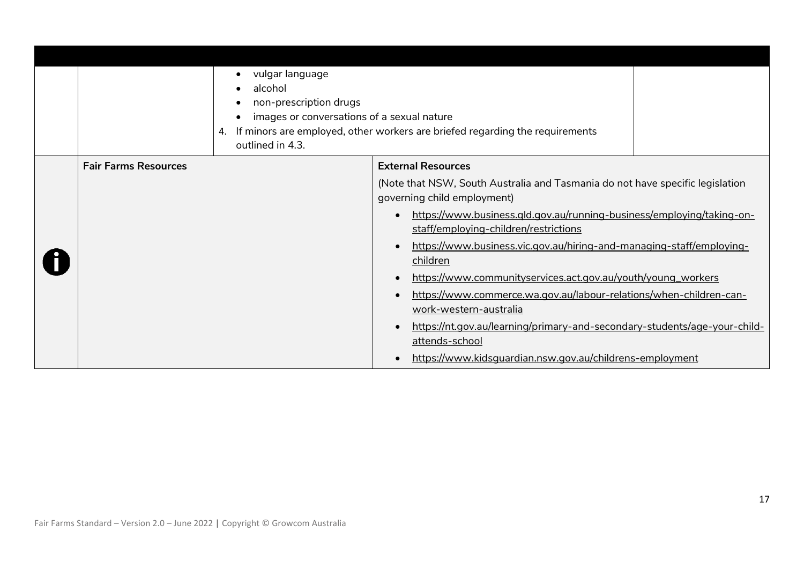|                             | vulgar language<br>alcohol<br>non-prescription drugs<br>images or conversations of a sexual nature<br>4.<br>outlined in 4.3. | If minors are employed, other workers are briefed regarding the requirements                                   |  |
|-----------------------------|------------------------------------------------------------------------------------------------------------------------------|----------------------------------------------------------------------------------------------------------------|--|
| <b>Fair Farms Resources</b> |                                                                                                                              | <b>External Resources</b>                                                                                      |  |
|                             |                                                                                                                              | (Note that NSW, South Australia and Tasmania do not have specific legislation<br>governing child employment)   |  |
|                             |                                                                                                                              | https://www.business.gld.gov.au/running-business/employing/taking-on-<br>staff/employing-children/restrictions |  |
|                             |                                                                                                                              | https://www.business.vic.gov.au/hiring-and-managing-staff/employing-<br>children                               |  |
|                             |                                                                                                                              | https://www.communityservices.act.gov.au/youth/young_workers                                                   |  |
|                             |                                                                                                                              | https://www.commerce.wa.gov.au/labour-relations/when-children-can-<br>work-western-australia                   |  |
|                             |                                                                                                                              | https://nt.gov.au/learning/primary-and-secondary-students/age-your-child-<br>attends-school                    |  |
|                             |                                                                                                                              | https://www.kidsquardian.nsw.gov.au/childrens-employment                                                       |  |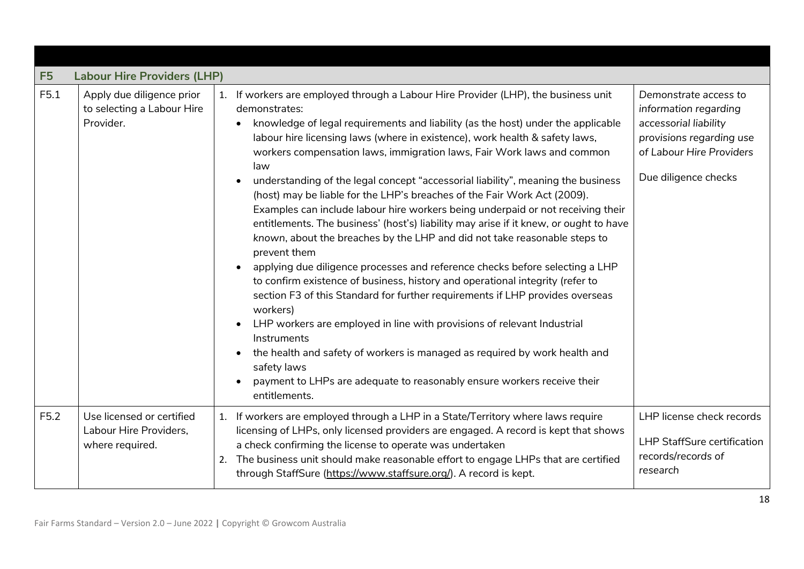<span id="page-17-0"></span>

| F <sub>5</sub> | <b>Labour Hire Providers (LHP)</b>                                     |                                                                                                                                                                                                                                                                                                                                                                                                                                                                                                                                                                                                                                                                                                                                                                                                                                                                                                                                                                                                                                                                                                                                                                                                                                                                                                                                                                                          |                                                                                                                                                         |
|----------------|------------------------------------------------------------------------|------------------------------------------------------------------------------------------------------------------------------------------------------------------------------------------------------------------------------------------------------------------------------------------------------------------------------------------------------------------------------------------------------------------------------------------------------------------------------------------------------------------------------------------------------------------------------------------------------------------------------------------------------------------------------------------------------------------------------------------------------------------------------------------------------------------------------------------------------------------------------------------------------------------------------------------------------------------------------------------------------------------------------------------------------------------------------------------------------------------------------------------------------------------------------------------------------------------------------------------------------------------------------------------------------------------------------------------------------------------------------------------|---------------------------------------------------------------------------------------------------------------------------------------------------------|
| F5.1           | Apply due diligence prior<br>to selecting a Labour Hire<br>Provider.   | 1. If workers are employed through a Labour Hire Provider (LHP), the business unit<br>demonstrates:<br>knowledge of legal requirements and liability (as the host) under the applicable<br>labour hire licensing laws (where in existence), work health & safety laws,<br>workers compensation laws, immigration laws, Fair Work laws and common<br>law<br>understanding of the legal concept "accessorial liability", meaning the business<br>(host) may be liable for the LHP's breaches of the Fair Work Act (2009).<br>Examples can include labour hire workers being underpaid or not receiving their<br>entitlements. The business' (host's) liability may arise if it knew, or ought to have<br>known, about the breaches by the LHP and did not take reasonable steps to<br>prevent them<br>applying due diligence processes and reference checks before selecting a LHP<br>$\bullet$<br>to confirm existence of business, history and operational integrity (refer to<br>section F3 of this Standard for further requirements if LHP provides overseas<br>workers)<br>LHP workers are employed in line with provisions of relevant Industrial<br>$\bullet$<br>Instruments<br>the health and safety of workers is managed as required by work health and<br>$\bullet$<br>safety laws<br>payment to LHPs are adequate to reasonably ensure workers receive their<br>entitlements. | Demonstrate access to<br>information regarding<br>accessorial liability<br>provisions regarding use<br>of Labour Hire Providers<br>Due diligence checks |
| F5.2           | Use licensed or certified<br>Labour Hire Providers,<br>where required. | 1. If workers are employed through a LHP in a State/Territory where laws require<br>licensing of LHPs, only licensed providers are engaged. A record is kept that shows<br>a check confirming the license to operate was undertaken<br>The business unit should make reasonable effort to engage LHPs that are certified<br>2.<br>through StaffSure (https://www.staffsure.org/). A record is kept.                                                                                                                                                                                                                                                                                                                                                                                                                                                                                                                                                                                                                                                                                                                                                                                                                                                                                                                                                                                      | LHP license check records<br><b>LHP StaffSure certification</b><br>records/records of<br>research                                                       |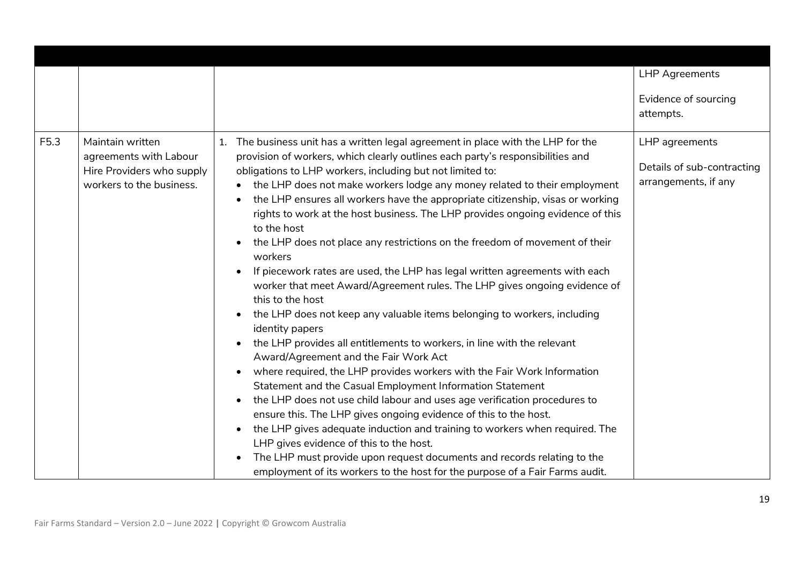|      |                                                                                                     |                                                                                                                                                                                                                                                                                                                                                                                                                                                                                                                                                                                                                                                                                                                                                                                                                                                                                                 | <b>LHP Agreements</b>                                                |
|------|-----------------------------------------------------------------------------------------------------|-------------------------------------------------------------------------------------------------------------------------------------------------------------------------------------------------------------------------------------------------------------------------------------------------------------------------------------------------------------------------------------------------------------------------------------------------------------------------------------------------------------------------------------------------------------------------------------------------------------------------------------------------------------------------------------------------------------------------------------------------------------------------------------------------------------------------------------------------------------------------------------------------|----------------------------------------------------------------------|
|      |                                                                                                     |                                                                                                                                                                                                                                                                                                                                                                                                                                                                                                                                                                                                                                                                                                                                                                                                                                                                                                 | Evidence of sourcing                                                 |
|      |                                                                                                     |                                                                                                                                                                                                                                                                                                                                                                                                                                                                                                                                                                                                                                                                                                                                                                                                                                                                                                 | attempts.                                                            |
|      |                                                                                                     |                                                                                                                                                                                                                                                                                                                                                                                                                                                                                                                                                                                                                                                                                                                                                                                                                                                                                                 |                                                                      |
| F5.3 | Maintain written<br>agreements with Labour<br>Hire Providers who supply<br>workers to the business. | The business unit has a written legal agreement in place with the LHP for the<br>1.<br>provision of workers, which clearly outlines each party's responsibilities and<br>obligations to LHP workers, including but not limited to:<br>the LHP does not make workers lodge any money related to their employment<br>the LHP ensures all workers have the appropriate citizenship, visas or working<br>rights to work at the host business. The LHP provides ongoing evidence of this<br>to the host<br>the LHP does not place any restrictions on the freedom of movement of their<br>$\bullet$<br>workers<br>If piecework rates are used, the LHP has legal written agreements with each<br>$\bullet$<br>worker that meet Award/Agreement rules. The LHP gives ongoing evidence of<br>this to the host<br>the LHP does not keep any valuable items belonging to workers, including<br>$\bullet$ | LHP agreements<br>Details of sub-contracting<br>arrangements, if any |
|      |                                                                                                     | identity papers<br>the LHP provides all entitlements to workers, in line with the relevant<br>$\bullet$<br>Award/Agreement and the Fair Work Act<br>where required, the LHP provides workers with the Fair Work Information<br>Statement and the Casual Employment Information Statement<br>the LHP does not use child labour and uses age verification procedures to<br>$\bullet$<br>ensure this. The LHP gives ongoing evidence of this to the host.<br>the LHP gives adequate induction and training to workers when required. The<br>$\bullet$<br>LHP gives evidence of this to the host.<br>The LHP must provide upon request documents and records relating to the<br>$\bullet$<br>employment of its workers to the host for the purpose of a Fair Farms audit.                                                                                                                           |                                                                      |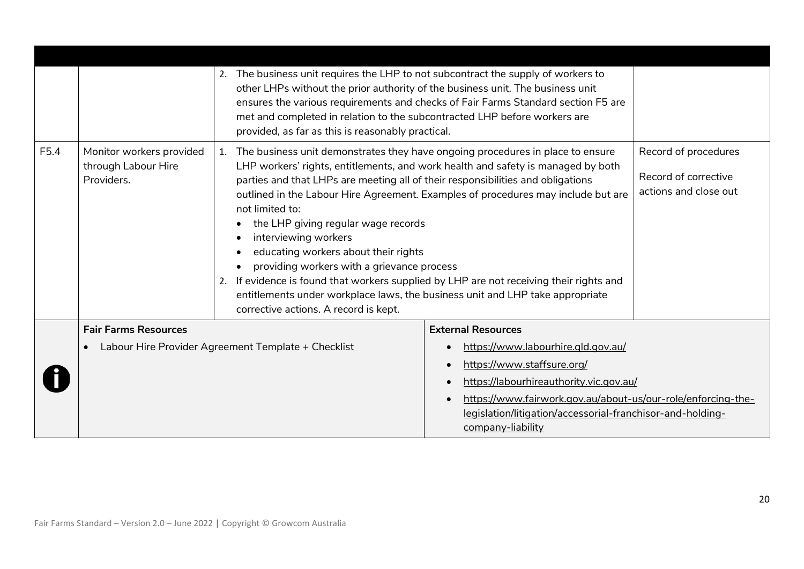|      |                                                               | 2. The business unit requires the LHP to not subcontract the supply of workers to<br>other LHPs without the prior authority of the business unit. The business unit<br>met and completed in relation to the subcontracted LHP before workers are<br>provided, as far as this is reasonably practical.                                                                                                                                                                            | ensures the various requirements and checks of Fair Farms Standard section F5 are                                                                                                                                                                      |                                                                       |
|------|---------------------------------------------------------------|----------------------------------------------------------------------------------------------------------------------------------------------------------------------------------------------------------------------------------------------------------------------------------------------------------------------------------------------------------------------------------------------------------------------------------------------------------------------------------|--------------------------------------------------------------------------------------------------------------------------------------------------------------------------------------------------------------------------------------------------------|-----------------------------------------------------------------------|
| F5.4 | Monitor workers provided<br>through Labour Hire<br>Providers. | 1. The business unit demonstrates they have ongoing procedures in place to ensure<br>parties and that LHPs are meeting all of their responsibilities and obligations<br>not limited to:<br>the LHP giving regular wage records<br>interviewing workers<br>educating workers about their rights<br>providing workers with a grievance process<br>2. If evidence is found that workers supplied by LHP are not receiving their rights and<br>corrective actions. A record is kept. | LHP workers' rights, entitlements, and work health and safety is managed by both<br>outlined in the Labour Hire Agreement. Examples of procedures may include but are<br>entitlements under workplace laws, the business unit and LHP take appropriate | Record of procedures<br>Record of corrective<br>actions and close out |
|      | <b>Fair Farms Resources</b>                                   |                                                                                                                                                                                                                                                                                                                                                                                                                                                                                  | <b>External Resources</b>                                                                                                                                                                                                                              |                                                                       |
|      |                                                               | Labour Hire Provider Agreement Template + Checklist                                                                                                                                                                                                                                                                                                                                                                                                                              | https://www.labourhire.gld.gov.au/                                                                                                                                                                                                                     |                                                                       |
|      |                                                               |                                                                                                                                                                                                                                                                                                                                                                                                                                                                                  | https://www.staffsure.org/                                                                                                                                                                                                                             |                                                                       |
|      |                                                               |                                                                                                                                                                                                                                                                                                                                                                                                                                                                                  | https://labourhireauthority.vic.gov.au/                                                                                                                                                                                                                |                                                                       |
|      |                                                               |                                                                                                                                                                                                                                                                                                                                                                                                                                                                                  | https://www.fairwork.gov.au/about-us/our-role/enforcing-the-<br>legislation/litigation/accessorial-franchisor-and-holding-                                                                                                                             |                                                                       |
|      |                                                               |                                                                                                                                                                                                                                                                                                                                                                                                                                                                                  | company-liability                                                                                                                                                                                                                                      |                                                                       |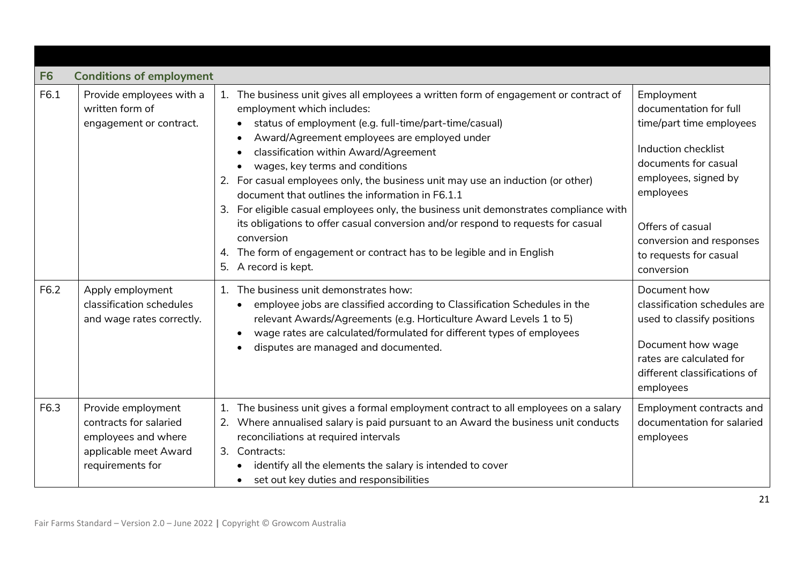<span id="page-20-0"></span>

| F <sub>6</sub> | <b>Conditions of employment</b>                                                                                  |                                                                                                                                                                                                                                                                                                                                                                                                                                                                                                                                                                                                                                                                                                                                                 |                                                                                                                                                                                                                                              |
|----------------|------------------------------------------------------------------------------------------------------------------|-------------------------------------------------------------------------------------------------------------------------------------------------------------------------------------------------------------------------------------------------------------------------------------------------------------------------------------------------------------------------------------------------------------------------------------------------------------------------------------------------------------------------------------------------------------------------------------------------------------------------------------------------------------------------------------------------------------------------------------------------|----------------------------------------------------------------------------------------------------------------------------------------------------------------------------------------------------------------------------------------------|
| F6.1           | Provide employees with a<br>written form of<br>engagement or contract.                                           | The business unit gives all employees a written form of engagement or contract of<br>employment which includes:<br>status of employment (e.g. full-time/part-time/casual)<br>Award/Agreement employees are employed under<br>classification within Award/Agreement<br>wages, key terms and conditions<br>2. For casual employees only, the business unit may use an induction (or other)<br>document that outlines the information in F6.1.1<br>For eligible casual employees only, the business unit demonstrates compliance with<br>3.<br>its obligations to offer casual conversion and/or respond to requests for casual<br>conversion<br>4. The form of engagement or contract has to be legible and in English<br>5.<br>A record is kept. | Employment<br>documentation for full<br>time/part time employees<br>Induction checklist<br>documents for casual<br>employees, signed by<br>employees<br>Offers of casual<br>conversion and responses<br>to requests for casual<br>conversion |
| F6.2           | Apply employment<br>classification schedules<br>and wage rates correctly.                                        | The business unit demonstrates how:<br>employee jobs are classified according to Classification Schedules in the<br>relevant Awards/Agreements (e.g. Horticulture Award Levels 1 to 5)<br>wage rates are calculated/formulated for different types of employees<br>disputes are managed and documented.                                                                                                                                                                                                                                                                                                                                                                                                                                         | Document how<br>classification schedules are<br>used to classify positions<br>Document how wage<br>rates are calculated for<br>different classifications of<br>employees                                                                     |
| F6.3           | Provide employment<br>contracts for salaried<br>employees and where<br>applicable meet Award<br>requirements for | The business unit gives a formal employment contract to all employees on a salary<br>Where annualised salary is paid pursuant to an Award the business unit conducts<br>2.<br>reconciliations at required intervals<br>3. Contracts:<br>identify all the elements the salary is intended to cover<br>set out key duties and responsibilities                                                                                                                                                                                                                                                                                                                                                                                                    | Employment contracts and<br>documentation for salaried<br>employees                                                                                                                                                                          |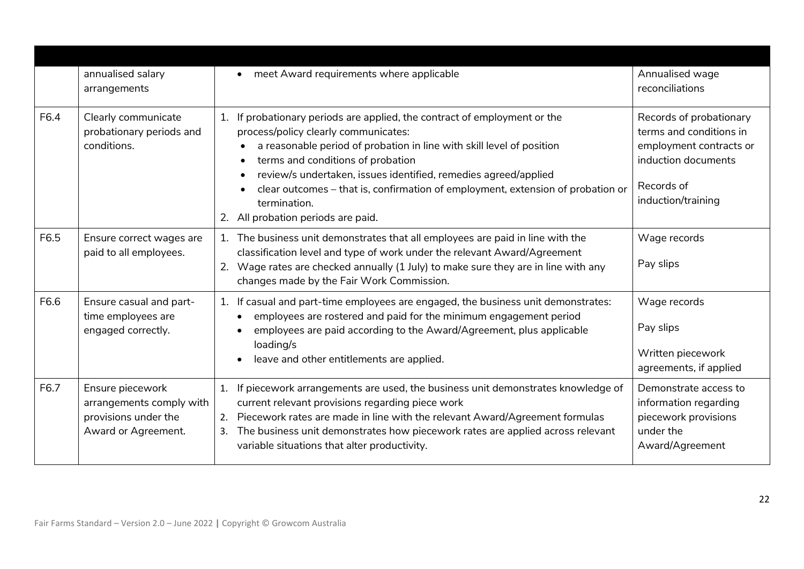|      | annualised salary<br>arrangements                                                           | • meet Award requirements where applicable                                                                                                                                                                                                                                                                                                                                                                                                     | Annualised wage<br>reconciliations                                                                                                       |
|------|---------------------------------------------------------------------------------------------|------------------------------------------------------------------------------------------------------------------------------------------------------------------------------------------------------------------------------------------------------------------------------------------------------------------------------------------------------------------------------------------------------------------------------------------------|------------------------------------------------------------------------------------------------------------------------------------------|
| F6.4 | Clearly communicate<br>probationary periods and<br>conditions.                              | If probationary periods are applied, the contract of employment or the<br>1.<br>process/policy clearly communicates:<br>a reasonable period of probation in line with skill level of position<br>terms and conditions of probation<br>review/s undertaken, issues identified, remedies agreed/applied<br>clear outcomes - that is, confirmation of employment, extension of probation or<br>termination.<br>2. All probation periods are paid. | Records of probationary<br>terms and conditions in<br>employment contracts or<br>induction documents<br>Records of<br>induction/training |
| F6.5 | Ensure correct wages are<br>paid to all employees.                                          | 1. The business unit demonstrates that all employees are paid in line with the<br>classification level and type of work under the relevant Award/Agreement<br>2. Wage rates are checked annually (1 July) to make sure they are in line with any<br>changes made by the Fair Work Commission.                                                                                                                                                  | Wage records<br>Pay slips                                                                                                                |
| F6.6 | Ensure casual and part-<br>time employees are<br>engaged correctly.                         | If casual and part-time employees are engaged, the business unit demonstrates:<br>1.<br>employees are rostered and paid for the minimum engagement period<br>employees are paid according to the Award/Agreement, plus applicable<br>loading/s<br>leave and other entitlements are applied.                                                                                                                                                    | Wage records<br>Pay slips<br>Written piecework<br>agreements, if applied                                                                 |
| F6.7 | Ensure piecework<br>arrangements comply with<br>provisions under the<br>Award or Agreement. | If piecework arrangements are used, the business unit demonstrates knowledge of<br>1.<br>current relevant provisions regarding piece work<br>Piecework rates are made in line with the relevant Award/Agreement formulas<br>2.<br>The business unit demonstrates how piecework rates are applied across relevant<br>3.<br>variable situations that alter productivity.                                                                         | Demonstrate access to<br>information regarding<br>piecework provisions<br>under the<br>Award/Agreement                                   |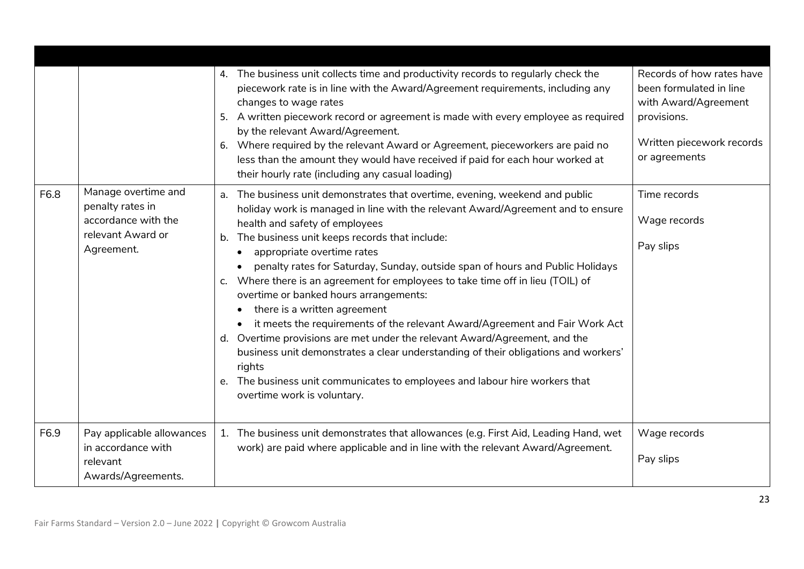|      |                                                                                                   | The business unit collects time and productivity records to regularly check the<br>4.<br>piecework rate is in line with the Award/Agreement requirements, including any<br>changes to wage rates<br>5. A written piecework record or agreement is made with every employee as required<br>by the relevant Award/Agreement.<br>6. Where required by the relevant Award or Agreement, pieceworkers are paid no<br>less than the amount they would have received if paid for each hour worked at<br>their hourly rate (including any casual loading)                                                                                                                                                                                                                                                                                                                                                                                                | Records of how rates have<br>been formulated in line<br>with Award/Agreement<br>provisions.<br>Written piecework records<br>or agreements |
|------|---------------------------------------------------------------------------------------------------|--------------------------------------------------------------------------------------------------------------------------------------------------------------------------------------------------------------------------------------------------------------------------------------------------------------------------------------------------------------------------------------------------------------------------------------------------------------------------------------------------------------------------------------------------------------------------------------------------------------------------------------------------------------------------------------------------------------------------------------------------------------------------------------------------------------------------------------------------------------------------------------------------------------------------------------------------|-------------------------------------------------------------------------------------------------------------------------------------------|
| F6.8 | Manage overtime and<br>penalty rates in<br>accordance with the<br>relevant Award or<br>Agreement. | The business unit demonstrates that overtime, evening, weekend and public<br>а.<br>holiday work is managed in line with the relevant Award/Agreement and to ensure<br>health and safety of employees<br>The business unit keeps records that include:<br>b.<br>appropriate overtime rates<br>$\bullet$<br>penalty rates for Saturday, Sunday, outside span of hours and Public Holidays<br>Where there is an agreement for employees to take time off in lieu (TOIL) of<br>$C_{\bullet}$<br>overtime or banked hours arrangements:<br>there is a written agreement<br>it meets the requirements of the relevant Award/Agreement and Fair Work Act<br>d. Overtime provisions are met under the relevant Award/Agreement, and the<br>business unit demonstrates a clear understanding of their obligations and workers'<br>rights<br>The business unit communicates to employees and labour hire workers that<br>e.<br>overtime work is voluntary. | Time records<br>Wage records<br>Pay slips                                                                                                 |
| F6.9 | Pay applicable allowances<br>in accordance with<br>relevant<br>Awards/Agreements.                 | 1. The business unit demonstrates that allowances (e.g. First Aid, Leading Hand, wet<br>work) are paid where applicable and in line with the relevant Award/Agreement.                                                                                                                                                                                                                                                                                                                                                                                                                                                                                                                                                                                                                                                                                                                                                                           | Wage records<br>Pay slips                                                                                                                 |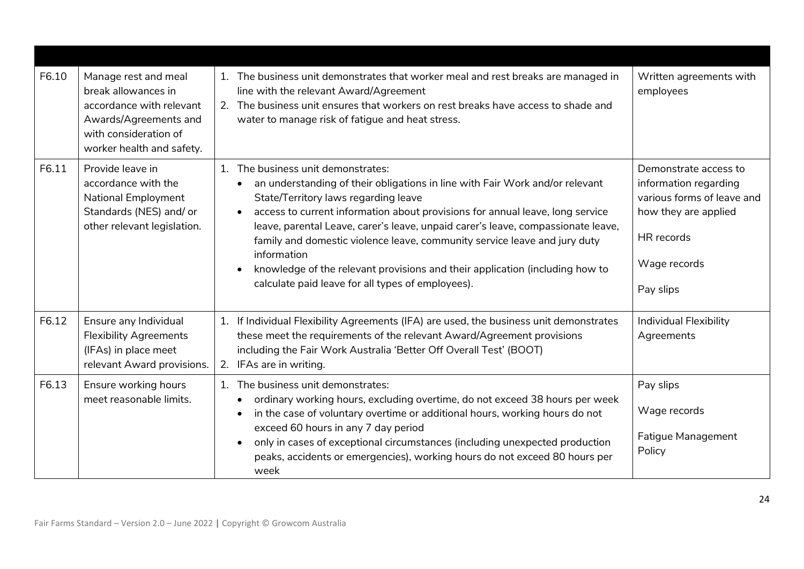| F6.10 | Manage rest and meal<br>break allowances in<br>accordance with relevant<br>Awards/Agreements and<br>with consideration of<br>worker health and safety. | The business unit demonstrates that worker meal and rest breaks are managed in<br>line with the relevant Award/Agreement<br>2. The business unit ensures that workers on rest breaks have access to shade and<br>water to manage risk of fatigue and heat stress.                                                                                                                                                                                                                                                                                                                             | Written agreements with<br>employees                                                                                                            |
|-------|--------------------------------------------------------------------------------------------------------------------------------------------------------|-----------------------------------------------------------------------------------------------------------------------------------------------------------------------------------------------------------------------------------------------------------------------------------------------------------------------------------------------------------------------------------------------------------------------------------------------------------------------------------------------------------------------------------------------------------------------------------------------|-------------------------------------------------------------------------------------------------------------------------------------------------|
| F6.11 | Provide leave in<br>accordance with the<br><b>National Employment</b><br>Standards (NES) and/ or<br>other relevant legislation.                        | The business unit demonstrates:<br>1.<br>an understanding of their obligations in line with Fair Work and/or relevant<br>State/Territory laws regarding leave<br>access to current information about provisions for annual leave, long service<br>$\bullet$<br>leave, parental Leave, carer's leave, unpaid carer's leave, compassionate leave,<br>family and domestic violence leave, community service leave and jury duty<br>information<br>knowledge of the relevant provisions and their application (including how to<br>$\bullet$<br>calculate paid leave for all types of employees). | Demonstrate access to<br>information regarding<br>various forms of leave and<br>how they are applied<br>HR records<br>Wage records<br>Pay slips |
| F6.12 | Ensure any Individual<br><b>Flexibility Agreements</b><br>(IFAs) in place meet<br>relevant Award provisions.                                           | If Individual Flexibility Agreements (IFA) are used, the business unit demonstrates<br>1.<br>these meet the requirements of the relevant Award/Agreement provisions<br>including the Fair Work Australia 'Better Off Overall Test' (BOOT)<br>2. IFAs are in writing.                                                                                                                                                                                                                                                                                                                          | Individual Flexibility<br>Agreements                                                                                                            |
| F6.13 | Ensure working hours<br>meet reasonable limits.                                                                                                        | The business unit demonstrates:<br>1.<br>ordinary working hours, excluding overtime, do not exceed 38 hours per week<br>in the case of voluntary overtime or additional hours, working hours do not<br>$\bullet$<br>exceed 60 hours in any 7 day period<br>only in cases of exceptional circumstances (including unexpected production<br>$\bullet$<br>peaks, accidents or emergencies), working hours do not exceed 80 hours per<br>week                                                                                                                                                     | Pay slips<br>Wage records<br>Fatigue Management<br>Policy                                                                                       |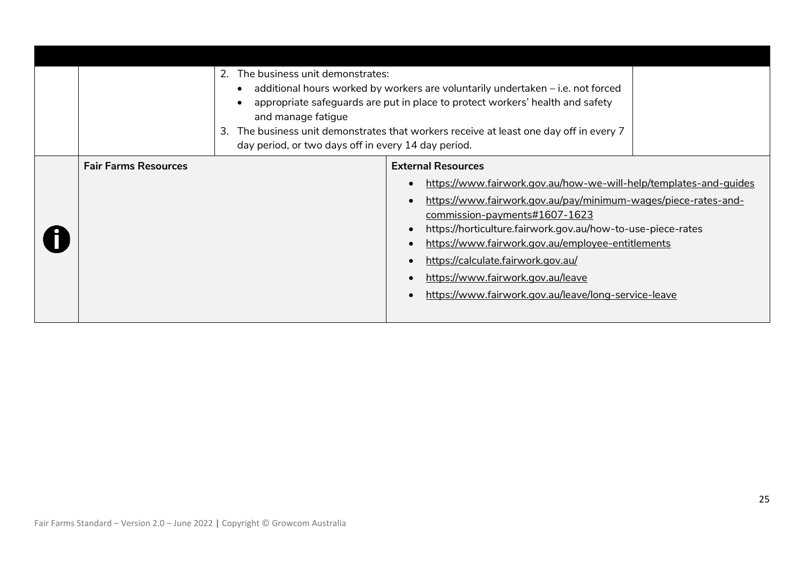|                             | The business unit demonstrates:<br>2.<br>and manage fatigue<br>3.<br>day period, or two days off in every 14 day period. | additional hours worked by workers are voluntarily undertaken – i.e. not forced<br>appropriate safeguards are put in place to protect workers' health and safety<br>The business unit demonstrates that workers receive at least one day off in every 7                                                                                                                                                                                                         |  |
|-----------------------------|--------------------------------------------------------------------------------------------------------------------------|-----------------------------------------------------------------------------------------------------------------------------------------------------------------------------------------------------------------------------------------------------------------------------------------------------------------------------------------------------------------------------------------------------------------------------------------------------------------|--|
| <b>Fair Farms Resources</b> |                                                                                                                          | <b>External Resources</b><br>https://www.fairwork.gov.au/how-we-will-help/templates-and-guides<br>https://www.fairwork.gov.au/pay/minimum-wages/piece-rates-and-<br><u>commission-payments#1607-1623</u><br>https://horticulture.fairwork.gov.au/how-to-use-piece-rates<br>https://www.fairwork.gov.au/employee-entitlements<br>https://calculate.fairwork.gov.au/<br>https://www.fairwork.gov.au/leave<br>https://www.fairwork.gov.au/leave/long-service-leave |  |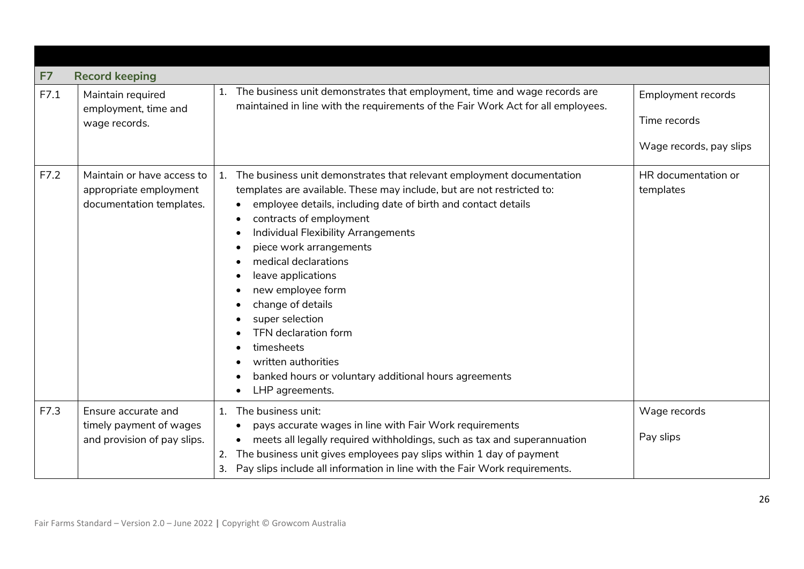<span id="page-25-0"></span>

| F7   | <b>Record keeping</b>                                                            |                                                                                                                                                                                                                                                                                                                                                                                                                                                                                                                                                                         |                                                                      |
|------|----------------------------------------------------------------------------------|-------------------------------------------------------------------------------------------------------------------------------------------------------------------------------------------------------------------------------------------------------------------------------------------------------------------------------------------------------------------------------------------------------------------------------------------------------------------------------------------------------------------------------------------------------------------------|----------------------------------------------------------------------|
| F7.1 | Maintain required<br>employment, time and<br>wage records.                       | The business unit demonstrates that employment, time and wage records are<br>1.<br>maintained in line with the requirements of the Fair Work Act for all employees.                                                                                                                                                                                                                                                                                                                                                                                                     | <b>Employment records</b><br>Time records<br>Wage records, pay slips |
| F7.2 | Maintain or have access to<br>appropriate employment<br>documentation templates. | The business unit demonstrates that relevant employment documentation<br>1.<br>templates are available. These may include, but are not restricted to:<br>employee details, including date of birth and contact details<br>contracts of employment<br>Individual Flexibility Arrangements<br>piece work arrangements<br>medical declarations<br>leave applications<br>new employee form<br>change of details<br>super selection<br>TFN declaration form<br>timesheets<br>written authorities<br>banked hours or voluntary additional hours agreements<br>LHP agreements. | HR documentation or<br>templates                                     |
| F7.3 | Ensure accurate and<br>timely payment of wages<br>and provision of pay slips.    | The business unit:<br>1.<br>pays accurate wages in line with Fair Work requirements<br>$\bullet$<br>meets all legally required withholdings, such as tax and superannuation<br>The business unit gives employees pay slips within 1 day of payment<br>2.<br>Pay slips include all information in line with the Fair Work requirements.<br>3.                                                                                                                                                                                                                            | Wage records<br>Pay slips                                            |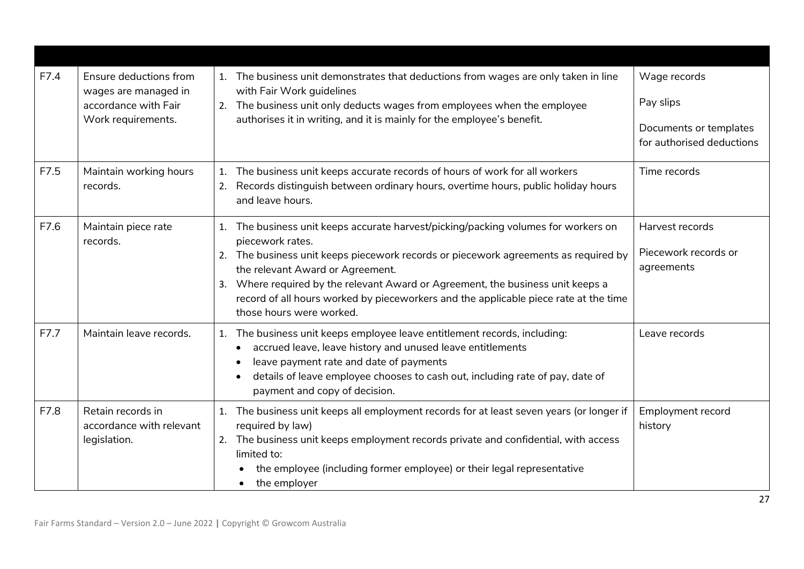| F7.4 | Ensure deductions from<br>wages are managed in<br>accordance with Fair<br>Work requirements. | 1. The business unit demonstrates that deductions from wages are only taken in line<br>with Fair Work guidelines<br>The business unit only deducts wages from employees when the employee<br>2.<br>authorises it in writing, and it is mainly for the employee's benefit.                                                                                                                                                                      | Wage records<br>Pay slips<br>Documents or templates<br>for authorised deductions |
|------|----------------------------------------------------------------------------------------------|------------------------------------------------------------------------------------------------------------------------------------------------------------------------------------------------------------------------------------------------------------------------------------------------------------------------------------------------------------------------------------------------------------------------------------------------|----------------------------------------------------------------------------------|
| F7.5 | Maintain working hours<br>records.                                                           | The business unit keeps accurate records of hours of work for all workers<br>1.<br>Records distinguish between ordinary hours, overtime hours, public holiday hours<br>2.<br>and leave hours.                                                                                                                                                                                                                                                  | Time records                                                                     |
| F7.6 | Maintain piece rate<br>records.                                                              | The business unit keeps accurate harvest/picking/packing volumes for workers on<br>1.<br>piecework rates.<br>2. The business unit keeps piecework records or piecework agreements as required by<br>the relevant Award or Agreement.<br>Where required by the relevant Award or Agreement, the business unit keeps a<br>3.<br>record of all hours worked by pieceworkers and the applicable piece rate at the time<br>those hours were worked. | Harvest records<br>Piecework records or<br>agreements                            |
| F7.7 | Maintain leave records.                                                                      | The business unit keeps employee leave entitlement records, including:<br>1.<br>accrued leave, leave history and unused leave entitlements<br>leave payment rate and date of payments<br>details of leave employee chooses to cash out, including rate of pay, date of<br>$\bullet$<br>payment and copy of decision.                                                                                                                           | Leave records                                                                    |
| F7.8 | Retain records in<br>accordance with relevant<br>legislation.                                | The business unit keeps all employment records for at least seven years (or longer if<br>1.<br>required by law)<br>2. The business unit keeps employment records private and confidential, with access<br>limited to:<br>the employee (including former employee) or their legal representative<br>the employer                                                                                                                                | <b>Employment record</b><br>history                                              |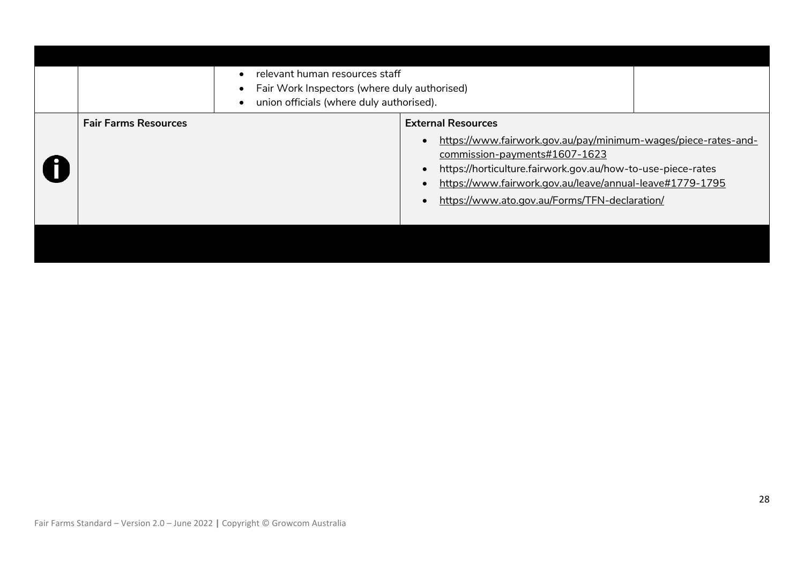|                             | relevant human resources staff<br>Fair Work Inspectors (where duly authorised)<br>union officials (where duly authorised). |                                                                                                                                                                                                                                                                                                          |  |
|-----------------------------|----------------------------------------------------------------------------------------------------------------------------|----------------------------------------------------------------------------------------------------------------------------------------------------------------------------------------------------------------------------------------------------------------------------------------------------------|--|
| <b>Fair Farms Resources</b> |                                                                                                                            | <b>External Resources</b><br>https://www.fairwork.gov.au/pay/minimum-wages/piece-rates-and-<br>commission-payments#1607-1623<br>https://horticulture.fairwork.gov.au/how-to-use-piece-rates<br>https://www.fairwork.gov.au/leave/annual-leave#1779-1795<br>https://www.ato.gov.au/Forms/TFN-declaration/ |  |
|                             |                                                                                                                            |                                                                                                                                                                                                                                                                                                          |  |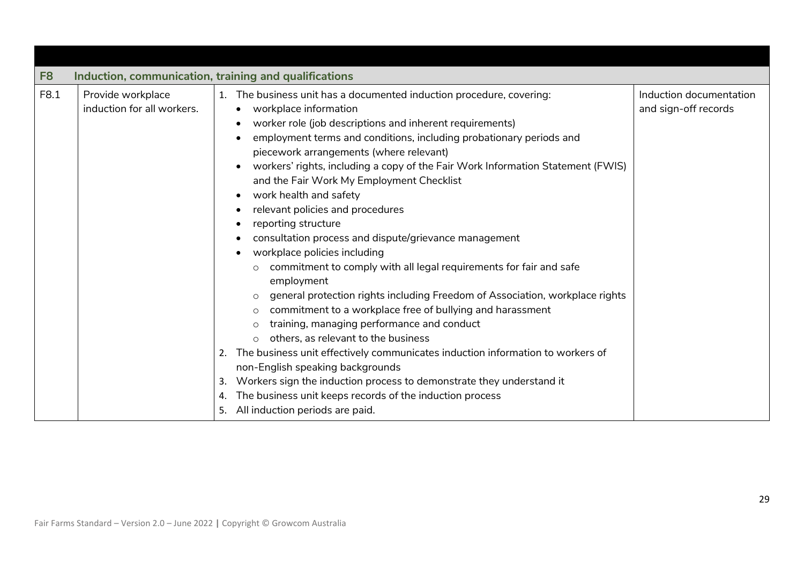<span id="page-28-0"></span>

| F <sub>8</sub> | Induction, communication, training and qualifications |                |                                                                                                                                                                                                                                                                                                                                                                                                                                                                                                                                                                                                                                                                                                                                                                                                                                                                                                                                                                                                                                                                                                                                                                                                                                                                                |                                                 |
|----------------|-------------------------------------------------------|----------------|--------------------------------------------------------------------------------------------------------------------------------------------------------------------------------------------------------------------------------------------------------------------------------------------------------------------------------------------------------------------------------------------------------------------------------------------------------------------------------------------------------------------------------------------------------------------------------------------------------------------------------------------------------------------------------------------------------------------------------------------------------------------------------------------------------------------------------------------------------------------------------------------------------------------------------------------------------------------------------------------------------------------------------------------------------------------------------------------------------------------------------------------------------------------------------------------------------------------------------------------------------------------------------|-------------------------------------------------|
| F8.1           | Provide workplace<br>induction for all workers.       | 2.<br>3.<br>4. | 1. The business unit has a documented induction procedure, covering:<br>workplace information<br>$\bullet$<br>worker role (job descriptions and inherent requirements)<br>$\bullet$<br>employment terms and conditions, including probationary periods and<br>piecework arrangements (where relevant)<br>workers' rights, including a copy of the Fair Work Information Statement (FWIS)<br>and the Fair Work My Employment Checklist<br>work health and safety<br>$\bullet$<br>relevant policies and procedures<br>$\bullet$<br>reporting structure<br>consultation process and dispute/grievance management<br>workplace policies including<br>commitment to comply with all legal requirements for fair and safe<br>employment<br>general protection rights including Freedom of Association, workplace rights<br>commitment to a workplace free of bullying and harassment<br>training, managing performance and conduct<br>others, as relevant to the business<br>$\circ$<br>The business unit effectively communicates induction information to workers of<br>non-English speaking backgrounds<br>Workers sign the induction process to demonstrate they understand it<br>The business unit keeps records of the induction process<br>5. All induction periods are paid. | Induction documentation<br>and sign-off records |
|                |                                                       |                |                                                                                                                                                                                                                                                                                                                                                                                                                                                                                                                                                                                                                                                                                                                                                                                                                                                                                                                                                                                                                                                                                                                                                                                                                                                                                |                                                 |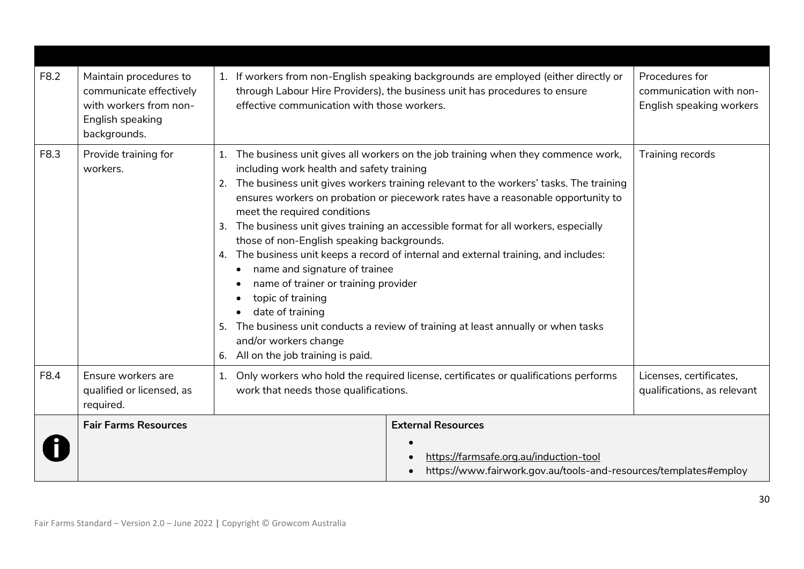| F8.2 | Maintain procedures to<br>communicate effectively<br>with workers from non-<br>English speaking<br>backgrounds. | effective communication with those workers.                                                                                                       | 1. If workers from non-English speaking backgrounds are employed (either directly or<br>through Labour Hire Providers), the business unit has procedures to ensure                                                                                                                                                                                                                                                                                                                                                                                                                                                                                                                                                          | Procedures for<br>communication with non-<br>English speaking workers |
|------|-----------------------------------------------------------------------------------------------------------------|---------------------------------------------------------------------------------------------------------------------------------------------------|-----------------------------------------------------------------------------------------------------------------------------------------------------------------------------------------------------------------------------------------------------------------------------------------------------------------------------------------------------------------------------------------------------------------------------------------------------------------------------------------------------------------------------------------------------------------------------------------------------------------------------------------------------------------------------------------------------------------------------|-----------------------------------------------------------------------|
| F8.3 | Provide training for<br>workers.                                                                                | 1.<br>meet the required conditions<br>topic of training<br>date of training<br>5.<br>and/or workers change<br>6. All on the job training is paid. | The business unit gives all workers on the job training when they commence work,<br>Training records<br>including work health and safety training<br>2. The business unit gives workers training relevant to the workers' tasks. The training<br>ensures workers on probation or piecework rates have a reasonable opportunity to<br>3. The business unit gives training an accessible format for all workers, especially<br>those of non-English speaking backgrounds.<br>4. The business unit keeps a record of internal and external training, and includes:<br>name and signature of trainee<br>name of trainer or training provider<br>The business unit conducts a review of training at least annually or when tasks |                                                                       |
| F8.4 | Ensure workers are<br>qualified or licensed, as<br>required.                                                    | 1.<br>work that needs those qualifications.                                                                                                       | Only workers who hold the required license, certificates or qualifications performs                                                                                                                                                                                                                                                                                                                                                                                                                                                                                                                                                                                                                                         | Licenses, certificates,<br>qualifications, as relevant                |
|      | <b>Fair Farms Resources</b>                                                                                     |                                                                                                                                                   | <b>External Resources</b><br>https://farmsafe.org.au/induction-tool<br>https://www.fairwork.gov.au/tools-and-resources/templates#employ                                                                                                                                                                                                                                                                                                                                                                                                                                                                                                                                                                                     |                                                                       |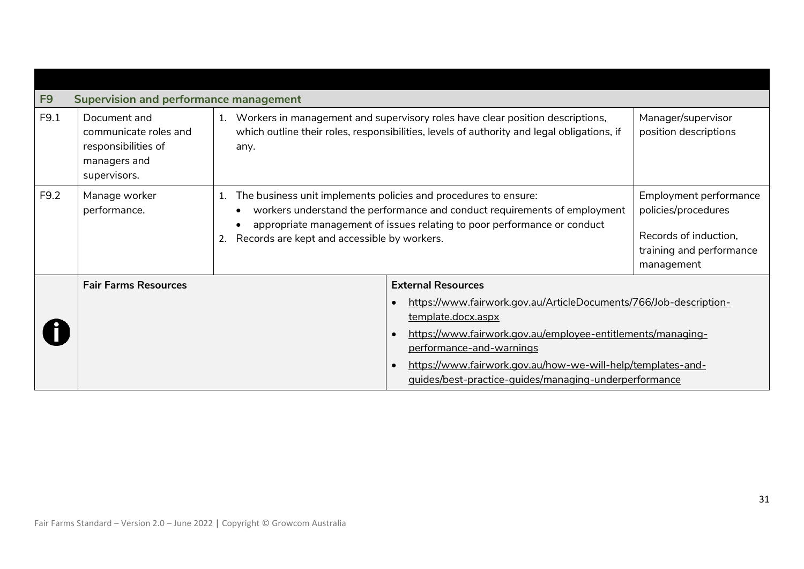<span id="page-30-0"></span>

| F <sub>9</sub> | <b>Supervision and performance management</b>                                                |                                                                                                                                                                                                                                                                               |                                                                                                                                                                                                                                                                                                                                      |                                                                                                                  |
|----------------|----------------------------------------------------------------------------------------------|-------------------------------------------------------------------------------------------------------------------------------------------------------------------------------------------------------------------------------------------------------------------------------|--------------------------------------------------------------------------------------------------------------------------------------------------------------------------------------------------------------------------------------------------------------------------------------------------------------------------------------|------------------------------------------------------------------------------------------------------------------|
| F9.1           | Document and<br>communicate roles and<br>responsibilities of<br>managers and<br>supervisors. | Workers in management and supervisory roles have clear position descriptions,<br>1.<br>which outline their roles, responsibilities, levels of authority and legal obligations, if<br>any.                                                                                     |                                                                                                                                                                                                                                                                                                                                      | Manager/supervisor<br>position descriptions                                                                      |
| F9.2           | Manage worker<br>performance.                                                                | The business unit implements policies and procedures to ensure:<br>1.<br>workers understand the performance and conduct requirements of employment<br>appropriate management of issues relating to poor performance or conduct<br>Records are kept and accessible by workers. |                                                                                                                                                                                                                                                                                                                                      | Employment performance<br>policies/procedures<br>Records of induction,<br>training and performance<br>management |
|                | <b>Fair Farms Resources</b>                                                                  |                                                                                                                                                                                                                                                                               | <b>External Resources</b>                                                                                                                                                                                                                                                                                                            |                                                                                                                  |
|                |                                                                                              |                                                                                                                                                                                                                                                                               | https://www.fairwork.gov.au/ArticleDocuments/766/Job-description-<br>$\bullet$<br>template.docx.aspx<br>https://www.fairwork.gov.au/employee-entitlements/managing-<br>$\bullet$<br>performance-and-warnings<br>https://www.fairwork.gov.au/how-we-will-help/templates-and-<br>guides/best-practice-quides/managing-underperformance |                                                                                                                  |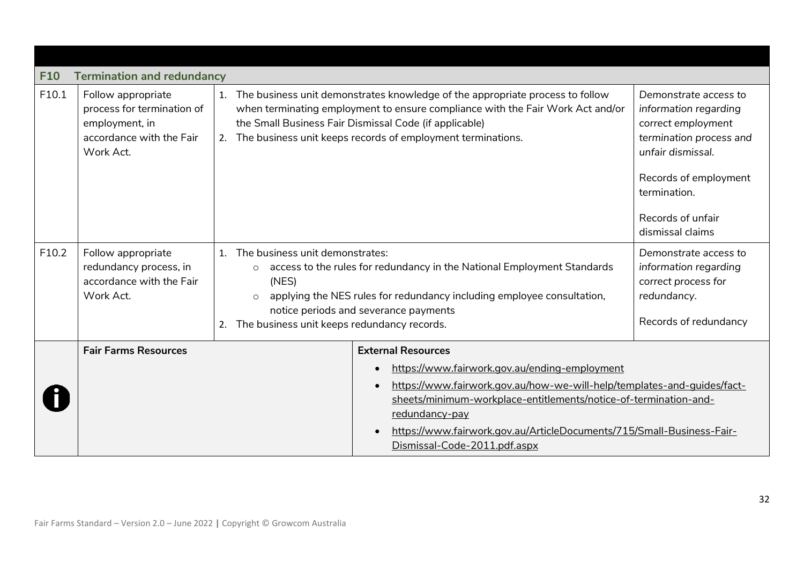<span id="page-31-0"></span>

| <b>F10</b> | <b>Termination and redundancy</b>                                                                           |                                             |                                                                                                                                                                                                                                                                                                                                                                                                                                                      |  |
|------------|-------------------------------------------------------------------------------------------------------------|---------------------------------------------|------------------------------------------------------------------------------------------------------------------------------------------------------------------------------------------------------------------------------------------------------------------------------------------------------------------------------------------------------------------------------------------------------------------------------------------------------|--|
| F10.1      | Follow appropriate<br>process for termination of<br>employment, in<br>accordance with the Fair<br>Work Act. | 1.<br>2.                                    | The business unit demonstrates knowledge of the appropriate process to follow<br>when terminating employment to ensure compliance with the Fair Work Act and/or<br>information regarding<br>the Small Business Fair Dismissal Code (if applicable)<br>correct employment<br>The business unit keeps records of employment terminations.<br>termination process and<br>Records of employment<br>termination.<br>Records of unfair<br>dismissal claims |  |
| F10.2      | Follow appropriate<br>redundancy process, in<br>accordance with the Fair<br>Work Act.                       | $\mathbf{1}$<br>$\circ$<br>(NES)<br>$\circ$ | The business unit demonstrates:<br>access to the rules for redundancy in the National Employment Standards<br>applying the NES rules for redundancy including employee consultation,<br>notice periods and severance payments<br>The business unit keeps redundancy records.                                                                                                                                                                         |  |
|            | <b>Fair Farms Resources</b>                                                                                 |                                             | <b>External Resources</b><br>https://www.fairwork.gov.au/ending-employment<br>https://www.fairwork.gov.au/how-we-will-help/templates-and-quides/fact-<br>sheets/minimum-workplace-entitlements/notice-of-termination-and-<br>redundancy-pay<br>https://www.fairwork.gov.au/ArticleDocuments/715/Small-Business-Fair-<br>Dismissal-Code-2011.pdf.aspx                                                                                                 |  |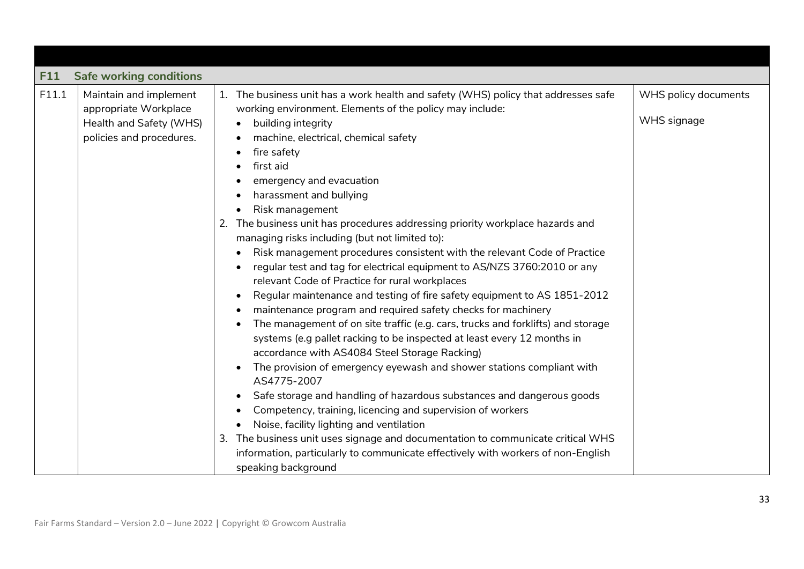<span id="page-32-0"></span>

| F11   | <b>Safe working conditions</b>                                                                         |                                                                                                                                                                                                                                                                                                                                                                                                                                                                                                                                                                                                                                                                                                                                                                                                                                                                                                                                                                                                                                                                                                                                                                                                                                                                                                                                                                                                                                                                                                                                                                                                                   |                                     |
|-------|--------------------------------------------------------------------------------------------------------|-------------------------------------------------------------------------------------------------------------------------------------------------------------------------------------------------------------------------------------------------------------------------------------------------------------------------------------------------------------------------------------------------------------------------------------------------------------------------------------------------------------------------------------------------------------------------------------------------------------------------------------------------------------------------------------------------------------------------------------------------------------------------------------------------------------------------------------------------------------------------------------------------------------------------------------------------------------------------------------------------------------------------------------------------------------------------------------------------------------------------------------------------------------------------------------------------------------------------------------------------------------------------------------------------------------------------------------------------------------------------------------------------------------------------------------------------------------------------------------------------------------------------------------------------------------------------------------------------------------------|-------------------------------------|
| F11.1 | Maintain and implement<br>appropriate Workplace<br>Health and Safety (WHS)<br>policies and procedures. | 1. The business unit has a work health and safety (WHS) policy that addresses safe<br>working environment. Elements of the policy may include:<br>building integrity<br>$\bullet$<br>machine, electrical, chemical safety<br>fire safety<br>first aid<br>emergency and evacuation<br>harassment and bullying<br>Risk management<br>$\bullet$<br>The business unit has procedures addressing priority workplace hazards and<br>2.<br>managing risks including (but not limited to):<br>Risk management procedures consistent with the relevant Code of Practice<br>regular test and tag for electrical equipment to AS/NZS 3760:2010 or any<br>$\bullet$<br>relevant Code of Practice for rural workplaces<br>Regular maintenance and testing of fire safety equipment to AS 1851-2012<br>$\bullet$<br>maintenance program and required safety checks for machinery<br>$\bullet$<br>The management of on site traffic (e.g. cars, trucks and forklifts) and storage<br>$\bullet$<br>systems (e.g pallet racking to be inspected at least every 12 months in<br>accordance with AS4084 Steel Storage Racking)<br>The provision of emergency eyewash and shower stations compliant with<br>$\bullet$<br>AS4775-2007<br>Safe storage and handling of hazardous substances and dangerous goods<br>$\bullet$<br>Competency, training, licencing and supervision of workers<br>Noise, facility lighting and ventilation<br>The business unit uses signage and documentation to communicate critical WHS<br>3.<br>information, particularly to communicate effectively with workers of non-English<br>speaking background | WHS policy documents<br>WHS signage |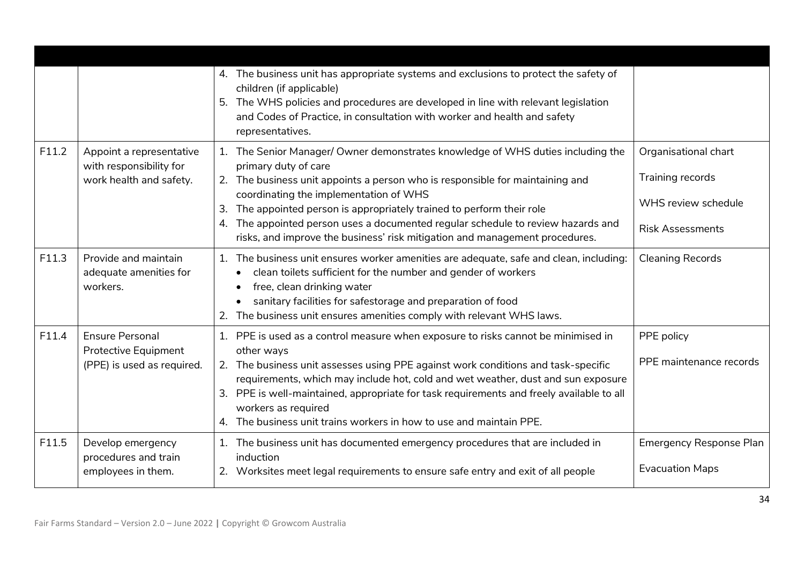|       |                                                                                | 4. The business unit has appropriate systems and exclusions to protect the safety of<br>children (if applicable)<br>The WHS policies and procedures are developed in line with relevant legislation<br>5.<br>and Codes of Practice, in consultation with worker and health and safety<br>representatives.                                                                                                                                                                             |                                                                                            |
|-------|--------------------------------------------------------------------------------|---------------------------------------------------------------------------------------------------------------------------------------------------------------------------------------------------------------------------------------------------------------------------------------------------------------------------------------------------------------------------------------------------------------------------------------------------------------------------------------|--------------------------------------------------------------------------------------------|
| F11.2 | Appoint a representative<br>with responsibility for<br>work health and safety. | 1. The Senior Manager/ Owner demonstrates knowledge of WHS duties including the<br>primary duty of care<br>2. The business unit appoints a person who is responsible for maintaining and<br>coordinating the implementation of WHS<br>The appointed person is appropriately trained to perform their role<br>3.<br>The appointed person uses a documented regular schedule to review hazards and<br>4.<br>risks, and improve the business' risk mitigation and management procedures. | Organisational chart<br>Training records<br>WHS review schedule<br><b>Risk Assessments</b> |
| F11.3 | Provide and maintain<br>adequate amenities for<br>workers.                     | The business unit ensures worker amenities are adequate, safe and clean, including:<br>1.<br>clean toilets sufficient for the number and gender of workers<br>free, clean drinking water<br>$\bullet$<br>sanitary facilities for safestorage and preparation of food<br>The business unit ensures amenities comply with relevant WHS laws.<br>2.                                                                                                                                      | <b>Cleaning Records</b>                                                                    |
| F11.4 | <b>Ensure Personal</b><br>Protective Equipment<br>(PPE) is used as required.   | 1. PPE is used as a control measure when exposure to risks cannot be minimised in<br>other ways<br>2. The business unit assesses using PPE against work conditions and task-specific<br>requirements, which may include hot, cold and wet weather, dust and sun exposure<br>3. PPE is well-maintained, appropriate for task requirements and freely available to all<br>workers as required<br>The business unit trains workers in how to use and maintain PPE.<br>4.                 | PPE policy<br>PPE maintenance records                                                      |
| F11.5 | Develop emergency<br>procedures and train<br>employees in them.                | 1. The business unit has documented emergency procedures that are included in<br>induction<br>2. Worksites meet legal requirements to ensure safe entry and exit of all people                                                                                                                                                                                                                                                                                                        | Emergency Response Plan<br><b>Evacuation Maps</b>                                          |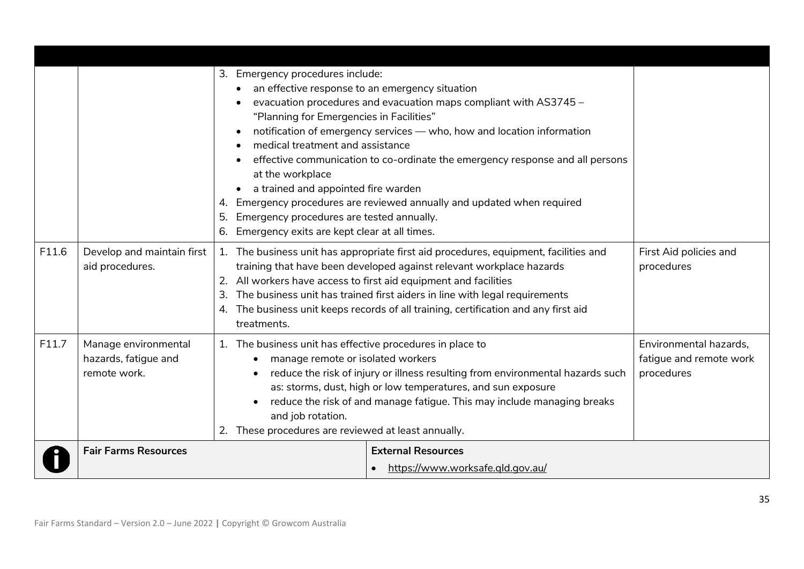|       |                                                              | 3. Emergency procedures include:<br>an effective response to an emergency situation<br>evacuation procedures and evacuation maps compliant with AS3745 -<br>"Planning for Emergencies in Facilities"<br>notification of emergency services - who, how and location information<br>$\bullet$<br>medical treatment and assistance<br>effective communication to co-ordinate the emergency response and all persons<br>at the workplace<br>a trained and appointed fire warden<br>4. Emergency procedures are reviewed annually and updated when required<br>Emergency procedures are tested annually.<br>5.<br>Emergency exits are kept clear at all times.<br>6. |                                                                 |
|-------|--------------------------------------------------------------|-----------------------------------------------------------------------------------------------------------------------------------------------------------------------------------------------------------------------------------------------------------------------------------------------------------------------------------------------------------------------------------------------------------------------------------------------------------------------------------------------------------------------------------------------------------------------------------------------------------------------------------------------------------------|-----------------------------------------------------------------|
| F11.6 | Develop and maintain first<br>aid procedures.                | 1. The business unit has appropriate first aid procedures, equipment, facilities and<br>training that have been developed against relevant workplace hazards<br>All workers have access to first aid equipment and facilities<br>2.<br>The business unit has trained first aiders in line with legal requirements<br>The business unit keeps records of all training, certification and any first aid<br>4.<br>treatments.                                                                                                                                                                                                                                      | First Aid policies and<br>procedures                            |
| F11.7 | Manage environmental<br>hazards, fatigue and<br>remote work. | 1. The business unit has effective procedures in place to<br>manage remote or isolated workers<br>reduce the risk of injury or illness resulting from environmental hazards such<br>as: storms, dust, high or low temperatures, and sun exposure<br>reduce the risk of and manage fatigue. This may include managing breaks<br>and job rotation.<br>These procedures are reviewed at least annually.<br>2.                                                                                                                                                                                                                                                      | Environmental hazards,<br>fatigue and remote work<br>procedures |
|       | <b>Fair Farms Resources</b>                                  | <b>External Resources</b><br>https://www.worksafe.gld.gov.au/<br>$\bullet$                                                                                                                                                                                                                                                                                                                                                                                                                                                                                                                                                                                      |                                                                 |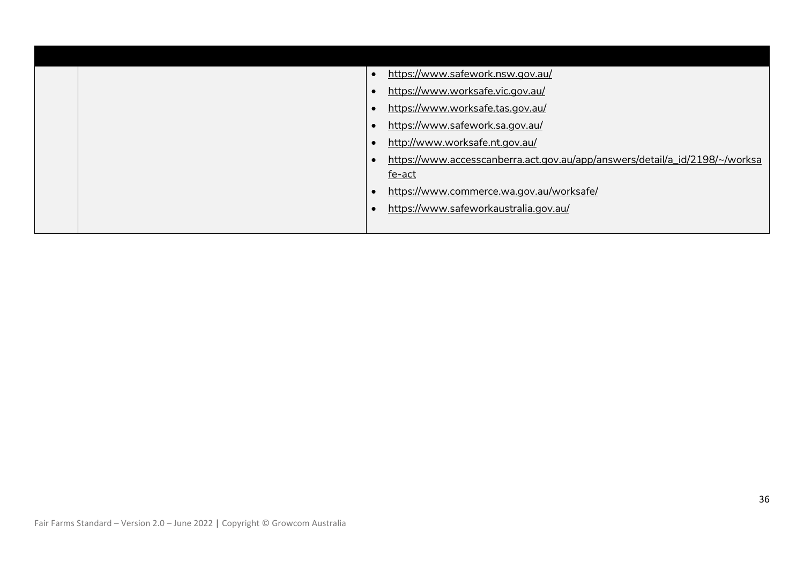|  | https://www.safework.nsw.gov.au/                                            |  |
|--|-----------------------------------------------------------------------------|--|
|  | https://www.worksafe.vic.gov.au/                                            |  |
|  | https://www.worksafe.tas.gov.au/                                            |  |
|  | https://www.safework.sa.gov.au/                                             |  |
|  | http://www.worksafe.nt.gov.au/                                              |  |
|  | https://www.accesscanberra.act.gov.au/app/answers/detail/a_id/2198/~/worksa |  |
|  | fe-act                                                                      |  |
|  | https://www.commerce.wa.gov.au/worksafe/                                    |  |
|  | https://www.safeworkaustralia.gov.au/                                       |  |
|  |                                                                             |  |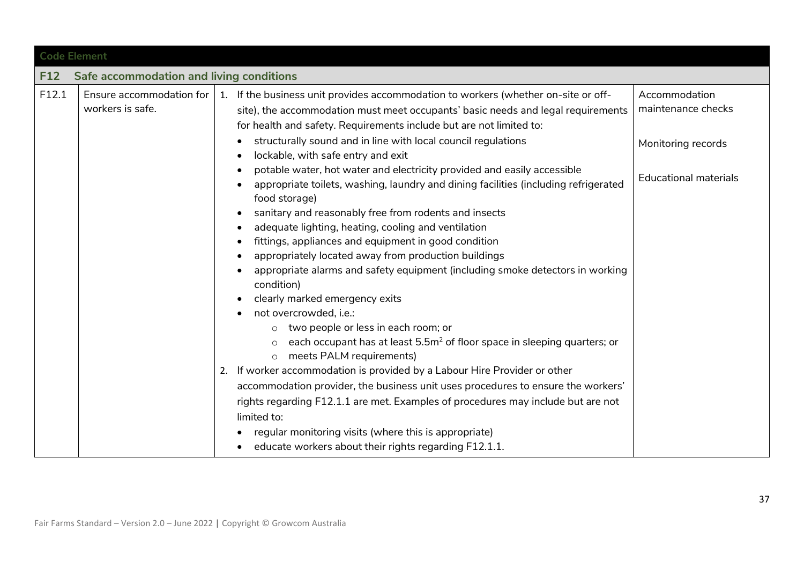<span id="page-36-0"></span>

|       | <b>Code Element</b>                          |                                                                                                                                                                                                                                                                                                                                                                                                                                                                                                                                                                                                                                                                                                                                                                                                                                                                                                                                                                                                                                                                                                                                                                                                                                                                                                                                                                                                                                                                                                                   |                                                                                           |  |  |  |
|-------|----------------------------------------------|-------------------------------------------------------------------------------------------------------------------------------------------------------------------------------------------------------------------------------------------------------------------------------------------------------------------------------------------------------------------------------------------------------------------------------------------------------------------------------------------------------------------------------------------------------------------------------------------------------------------------------------------------------------------------------------------------------------------------------------------------------------------------------------------------------------------------------------------------------------------------------------------------------------------------------------------------------------------------------------------------------------------------------------------------------------------------------------------------------------------------------------------------------------------------------------------------------------------------------------------------------------------------------------------------------------------------------------------------------------------------------------------------------------------------------------------------------------------------------------------------------------------|-------------------------------------------------------------------------------------------|--|--|--|
| F12   | Safe accommodation and living conditions     |                                                                                                                                                                                                                                                                                                                                                                                                                                                                                                                                                                                                                                                                                                                                                                                                                                                                                                                                                                                                                                                                                                                                                                                                                                                                                                                                                                                                                                                                                                                   |                                                                                           |  |  |  |
| F12.1 | Ensure accommodation for<br>workers is safe. | 1. If the business unit provides accommodation to workers (whether on-site or off-<br>site), the accommodation must meet occupants' basic needs and legal requirements<br>for health and safety. Requirements include but are not limited to:<br>structurally sound and in line with local council regulations<br>lockable, with safe entry and exit<br>٠<br>potable water, hot water and electricity provided and easily accessible<br>$\bullet$<br>appropriate toilets, washing, laundry and dining facilities (including refrigerated<br>food storage)<br>sanitary and reasonably free from rodents and insects<br>$\bullet$<br>adequate lighting, heating, cooling and ventilation<br>٠<br>fittings, appliances and equipment in good condition<br>appropriately located away from production buildings<br>$\bullet$<br>appropriate alarms and safety equipment (including smoke detectors in working<br>condition)<br>clearly marked emergency exits<br>not overcrowded, i.e.:<br>$\bullet$<br>two people or less in each room; or<br>each occupant has at least 5.5m <sup>2</sup> of floor space in sleeping quarters; or<br>$\circ$<br>meets PALM requirements)<br>$\circ$<br>If worker accommodation is provided by a Labour Hire Provider or other<br>2.<br>accommodation provider, the business unit uses procedures to ensure the workers'<br>rights regarding F12.1.1 are met. Examples of procedures may include but are not<br>limited to:<br>regular monitoring visits (where this is appropriate) | Accommodation<br>maintenance checks<br>Monitoring records<br><b>Educational materials</b> |  |  |  |
|       |                                              | educate workers about their rights regarding F12.1.1.                                                                                                                                                                                                                                                                                                                                                                                                                                                                                                                                                                                                                                                                                                                                                                                                                                                                                                                                                                                                                                                                                                                                                                                                                                                                                                                                                                                                                                                             |                                                                                           |  |  |  |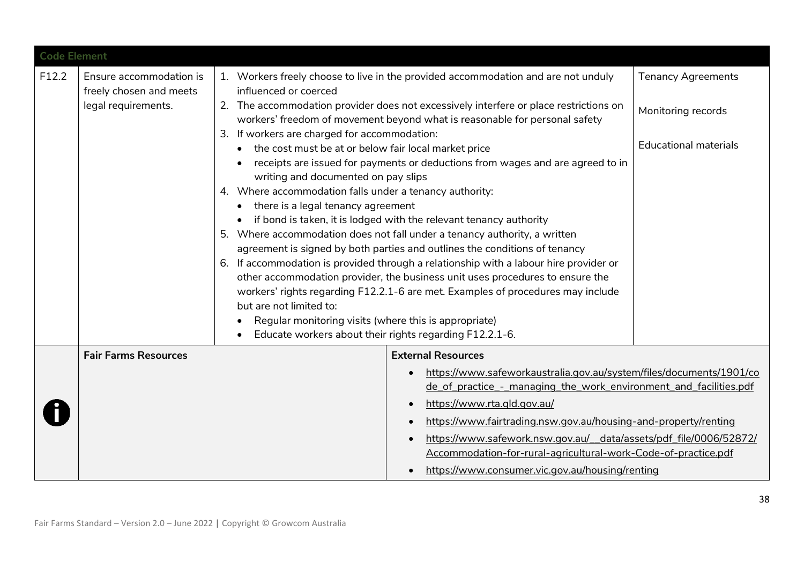| <b>Code Element</b> |                                                    |                                                                                                      |                                                                                                                                                                        |                              |
|---------------------|----------------------------------------------------|------------------------------------------------------------------------------------------------------|------------------------------------------------------------------------------------------------------------------------------------------------------------------------|------------------------------|
| F12.2               | Ensure accommodation is<br>freely chosen and meets | influenced or coerced                                                                                | 1. Workers freely choose to live in the provided accommodation and are not unduly                                                                                      | <b>Tenancy Agreements</b>    |
|                     | legal requirements.                                |                                                                                                      | 2. The accommodation provider does not excessively interfere or place restrictions on<br>workers' freedom of movement beyond what is reasonable for personal safety    | Monitoring records           |
|                     |                                                    | 3. If workers are charged for accommodation:<br>the cost must be at or below fair local market price |                                                                                                                                                                        | <b>Educational materials</b> |
|                     |                                                    | writing and documented on pay slips                                                                  | receipts are issued for payments or deductions from wages and are agreed to in                                                                                         |                              |
|                     |                                                    | 4. Where accommodation falls under a tenancy authority:<br>there is a legal tenancy agreement        |                                                                                                                                                                        |                              |
|                     |                                                    |                                                                                                      | if bond is taken, it is lodged with the relevant tenancy authority                                                                                                     |                              |
|                     |                                                    |                                                                                                      | 5. Where accommodation does not fall under a tenancy authority, a written<br>agreement is signed by both parties and outlines the conditions of tenancy                |                              |
|                     |                                                    |                                                                                                      | 6. If accommodation is provided through a relationship with a labour hire provider or<br>other accommodation provider, the business unit uses procedures to ensure the |                              |
|                     |                                                    | but are not limited to:                                                                              | workers' rights regarding F12.2.1-6 are met. Examples of procedures may include                                                                                        |                              |
|                     |                                                    | Regular monitoring visits (where this is appropriate)                                                |                                                                                                                                                                        |                              |
|                     |                                                    |                                                                                                      | Educate workers about their rights regarding F12.2.1-6.                                                                                                                |                              |
|                     | <b>Fair Farms Resources</b>                        |                                                                                                      | <b>External Resources</b>                                                                                                                                              |                              |
|                     |                                                    |                                                                                                      | https://www.safeworkaustralia.gov.au/system/files/documents/1901/co<br>$\bullet$<br>de_of_practice_-_managing_the_work_environment_and_facilities.pdf                  |                              |
|                     |                                                    |                                                                                                      | https://www.rta.gld.gov.au/                                                                                                                                            |                              |
|                     |                                                    |                                                                                                      | https://www.fairtrading.nsw.gov.au/housing-and-property/renting                                                                                                        |                              |
|                     |                                                    |                                                                                                      | https://www.safework.nsw.gov.au/_data/assets/pdf_file/0006/52872/<br>Accommodation-for-rural-agricultural-work-Code-of-practice.pdf                                    |                              |
|                     |                                                    |                                                                                                      | https://www.consumer.vic.gov.au/housing/renting                                                                                                                        |                              |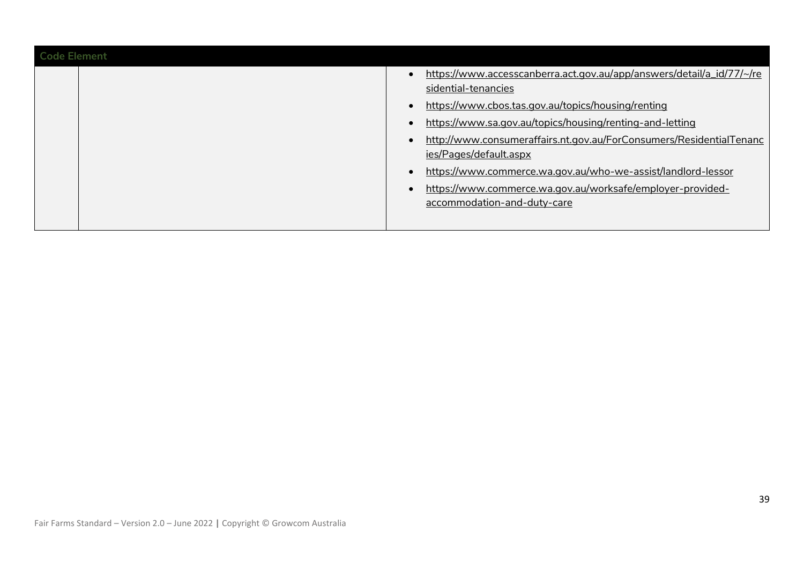| <b>Code Element</b> |                                                                                                                                                                                                                                                                                                                 |
|---------------------|-----------------------------------------------------------------------------------------------------------------------------------------------------------------------------------------------------------------------------------------------------------------------------------------------------------------|
|                     | https://www.accesscanberra.act.gov.au/app/answers/detail/a_id/77/~/re<br>sidential-tenancies<br>https://www.cbos.tas.gov.au/topics/housing/renting<br>https://www.sa.gov.au/topics/housing/renting-and-letting<br>http://www.consumeraffairs.nt.gov.au/ForConsumers/ResidentialTenanc<br>ies/Pages/default.aspx |
|                     | https://www.commerce.wa.gov.au/who-we-assist/landlord-lessor<br>https://www.commerce.wa.gov.au/worksafe/employer-provided-<br>accommodation-and-duty-care                                                                                                                                                       |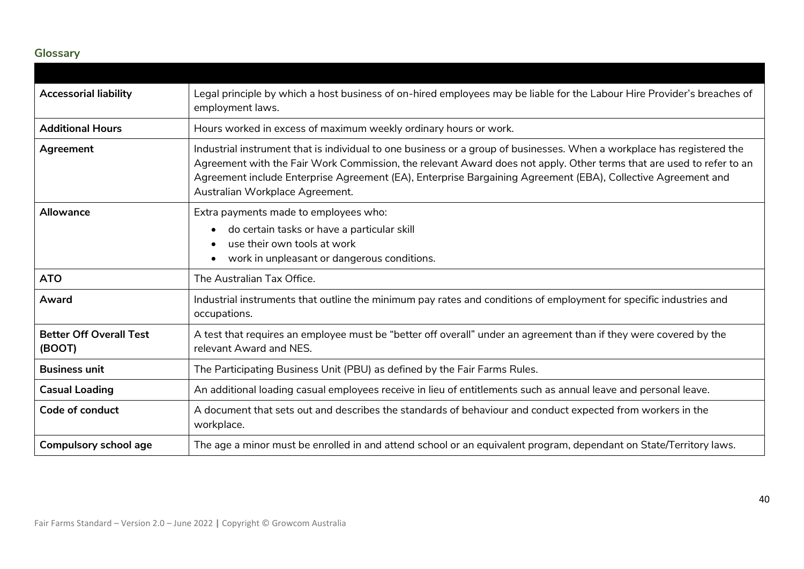# **Glossary**

<span id="page-39-0"></span>

| <b>Accessorial liability</b>             | Legal principle by which a host business of on-hired employees may be liable for the Labour Hire Provider's breaches of<br>employment laws.                                                                                                                                                                                                                                                       |
|------------------------------------------|---------------------------------------------------------------------------------------------------------------------------------------------------------------------------------------------------------------------------------------------------------------------------------------------------------------------------------------------------------------------------------------------------|
| <b>Additional Hours</b>                  | Hours worked in excess of maximum weekly ordinary hours or work.                                                                                                                                                                                                                                                                                                                                  |
| Agreement                                | Industrial instrument that is individual to one business or a group of businesses. When a workplace has registered the<br>Agreement with the Fair Work Commission, the relevant Award does not apply. Other terms that are used to refer to an<br>Agreement include Enterprise Agreement (EA), Enterprise Bargaining Agreement (EBA), Collective Agreement and<br>Australian Workplace Agreement. |
| Allowance                                | Extra payments made to employees who:                                                                                                                                                                                                                                                                                                                                                             |
|                                          | do certain tasks or have a particular skill<br>use their own tools at work<br>work in unpleasant or dangerous conditions.                                                                                                                                                                                                                                                                         |
| <b>ATO</b>                               | The Australian Tax Office.                                                                                                                                                                                                                                                                                                                                                                        |
| Award                                    | Industrial instruments that outline the minimum pay rates and conditions of employment for specific industries and<br>occupations.                                                                                                                                                                                                                                                                |
| <b>Better Off Overall Test</b><br>(BOOT) | A test that requires an employee must be "better off overall" under an agreement than if they were covered by the<br>relevant Award and NES.                                                                                                                                                                                                                                                      |
| <b>Business unit</b>                     | The Participating Business Unit (PBU) as defined by the Fair Farms Rules.                                                                                                                                                                                                                                                                                                                         |
| <b>Casual Loading</b>                    | An additional loading casual employees receive in lieu of entitlements such as annual leave and personal leave.                                                                                                                                                                                                                                                                                   |
| Code of conduct                          | A document that sets out and describes the standards of behaviour and conduct expected from workers in the<br>workplace.                                                                                                                                                                                                                                                                          |
| <b>Compulsory school age</b>             | The age a minor must be enrolled in and attend school or an equivalent program, dependant on State/Territory laws.                                                                                                                                                                                                                                                                                |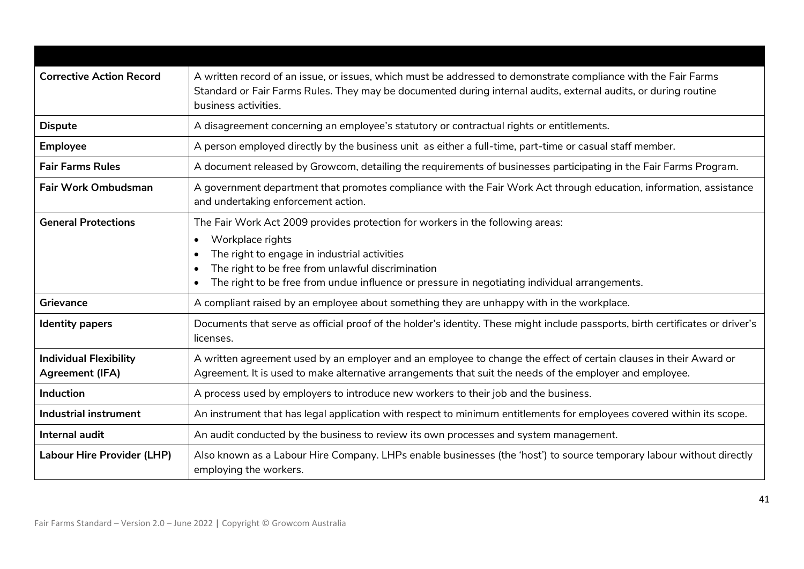| <b>Corrective Action Record</b>                         | A written record of an issue, or issues, which must be addressed to demonstrate compliance with the Fair Farms<br>Standard or Fair Farms Rules. They may be documented during internal audits, external audits, or during routine<br>business activities.                                                                                                    |
|---------------------------------------------------------|--------------------------------------------------------------------------------------------------------------------------------------------------------------------------------------------------------------------------------------------------------------------------------------------------------------------------------------------------------------|
| <b>Dispute</b>                                          | A disagreement concerning an employee's statutory or contractual rights or entitlements.                                                                                                                                                                                                                                                                     |
| <b>Employee</b>                                         | A person employed directly by the business unit as either a full-time, part-time or casual staff member.                                                                                                                                                                                                                                                     |
| <b>Fair Farms Rules</b>                                 | A document released by Growcom, detailing the requirements of businesses participating in the Fair Farms Program.                                                                                                                                                                                                                                            |
| <b>Fair Work Ombudsman</b>                              | A government department that promotes compliance with the Fair Work Act through education, information, assistance<br>and undertaking enforcement action.                                                                                                                                                                                                    |
| <b>General Protections</b>                              | The Fair Work Act 2009 provides protection for workers in the following areas:<br>Workplace rights<br>$\bullet$<br>The right to engage in industrial activities<br>$\bullet$<br>The right to be free from unlawful discrimination<br>$\bullet$<br>The right to be free from undue influence or pressure in negotiating individual arrangements.<br>$\bullet$ |
| Grievance                                               | A compliant raised by an employee about something they are unhappy with in the workplace.                                                                                                                                                                                                                                                                    |
| <b>Identity papers</b>                                  | Documents that serve as official proof of the holder's identity. These might include passports, birth certificates or driver's<br>licenses.                                                                                                                                                                                                                  |
| <b>Individual Flexibility</b><br><b>Agreement (IFA)</b> | A written agreement used by an employer and an employee to change the effect of certain clauses in their Award or<br>Agreement. It is used to make alternative arrangements that suit the needs of the employer and employee.                                                                                                                                |
| <b>Induction</b>                                        | A process used by employers to introduce new workers to their job and the business.                                                                                                                                                                                                                                                                          |
| <b>Industrial instrument</b>                            | An instrument that has legal application with respect to minimum entitlements for employees covered within its scope.                                                                                                                                                                                                                                        |
| Internal audit                                          | An audit conducted by the business to review its own processes and system management.                                                                                                                                                                                                                                                                        |
| <b>Labour Hire Provider (LHP)</b>                       | Also known as a Labour Hire Company. LHPs enable businesses (the 'host') to source temporary labour without directly<br>employing the workers.                                                                                                                                                                                                               |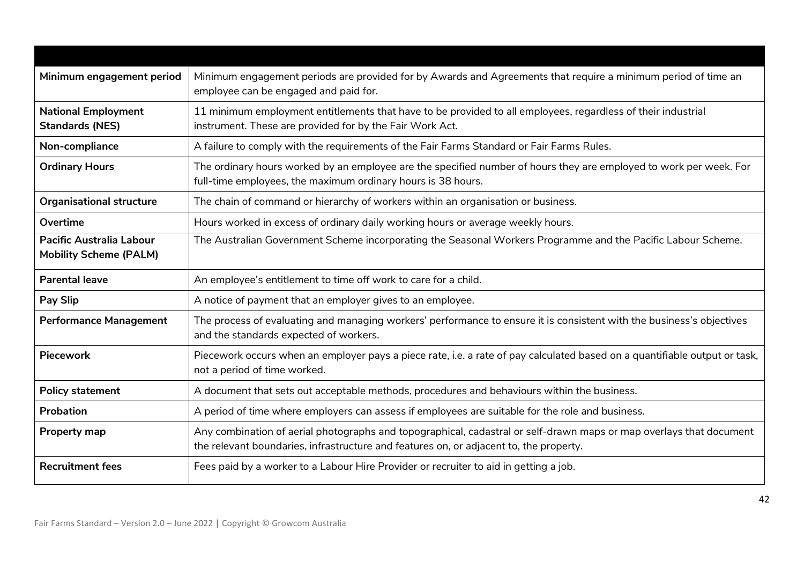| Minimum engagement period                                        | Minimum engagement periods are provided for by Awards and Agreements that require a minimum period of time an<br>employee can be engaged and paid for.                                                        |
|------------------------------------------------------------------|---------------------------------------------------------------------------------------------------------------------------------------------------------------------------------------------------------------|
| <b>National Employment</b><br><b>Standards (NES)</b>             | 11 minimum employment entitlements that have to be provided to all employees, regardless of their industrial<br>instrument. These are provided for by the Fair Work Act.                                      |
| Non-compliance                                                   | A failure to comply with the requirements of the Fair Farms Standard or Fair Farms Rules.                                                                                                                     |
| <b>Ordinary Hours</b>                                            | The ordinary hours worked by an employee are the specified number of hours they are employed to work per week. For<br>full-time employees, the maximum ordinary hours is 38 hours.                            |
| <b>Organisational structure</b>                                  | The chain of command or hierarchy of workers within an organisation or business.                                                                                                                              |
| Overtime                                                         | Hours worked in excess of ordinary daily working hours or average weekly hours.                                                                                                                               |
| <b>Pacific Australia Labour</b><br><b>Mobility Scheme (PALM)</b> | The Australian Government Scheme incorporating the Seasonal Workers Programme and the Pacific Labour Scheme.                                                                                                  |
| <b>Parental leave</b>                                            | An employee's entitlement to time off work to care for a child.                                                                                                                                               |
| <b>Pay Slip</b>                                                  | A notice of payment that an employer gives to an employee.                                                                                                                                                    |
| <b>Performance Management</b>                                    | The process of evaluating and managing workers' performance to ensure it is consistent with the business's objectives<br>and the standards expected of workers.                                               |
| <b>Piecework</b>                                                 | Piecework occurs when an employer pays a piece rate, i.e. a rate of pay calculated based on a quantifiable output or task,<br>not a period of time worked.                                                    |
| <b>Policy statement</b>                                          | A document that sets out acceptable methods, procedures and behaviours within the business.                                                                                                                   |
| <b>Probation</b>                                                 | A period of time where employers can assess if employees are suitable for the role and business.                                                                                                              |
| <b>Property map</b>                                              | Any combination of aerial photographs and topographical, cadastral or self-drawn maps or map overlays that document<br>the relevant boundaries, infrastructure and features on, or adjacent to, the property. |
| <b>Recruitment fees</b>                                          | Fees paid by a worker to a Labour Hire Provider or recruiter to aid in getting a job.                                                                                                                         |